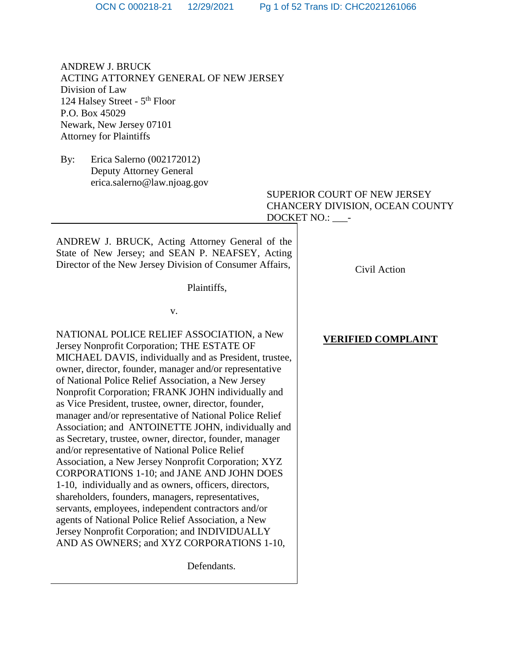ANDREW J. BRUCK ACTING ATTORNEY GENERAL OF NEW JERSEY Division of Law 124 Halsey Street - 5<sup>th</sup> Floor P.O. Box 45029 Newark, New Jersey 07101 Attorney for Plaintiffs

By: Erica Salerno (002172012) Deputy Attorney General erica.salerno@law.njoag.gov

> SUPERIOR COURT OF NEW JERSEY CHANCERY DIVISION, OCEAN COUNTY DOCKET NO.: \_\_\_-

ANDREW J. BRUCK, Acting Attorney General of the State of New Jersey; and SEAN P. NEAFSEY, Acting Director of the New Jersey Division of Consumer Affairs,

Plaintiffs,

v.

NATIONAL POLICE RELIEF ASSOCIATION, a New Jersey Nonprofit Corporation; THE ESTATE OF MICHAEL DAVIS, individually and as President, trustee, owner, director, founder, manager and/or representative of National Police Relief Association, a New Jersey Nonprofit Corporation; FRANK JOHN individually and as Vice President, trustee, owner, director, founder, manager and/or representative of National Police Relief Association; and ANTOINETTE JOHN, individually and as Secretary, trustee, owner, director, founder, manager and/or representative of National Police Relief Association, a New Jersey Nonprofit Corporation; XYZ CORPORATIONS 1-10; and JANE AND JOHN DOES 1-10, individually and as owners, officers, directors, shareholders, founders, managers, representatives, servants, employees, independent contractors and/or agents of National Police Relief Association, a New Jersey Nonprofit Corporation; and INDIVIDUALLY AND AS OWNERS; and XYZ CORPORATIONS 1-10,

Defendants.

Civil Action

**VERIFIED COMPLAINT**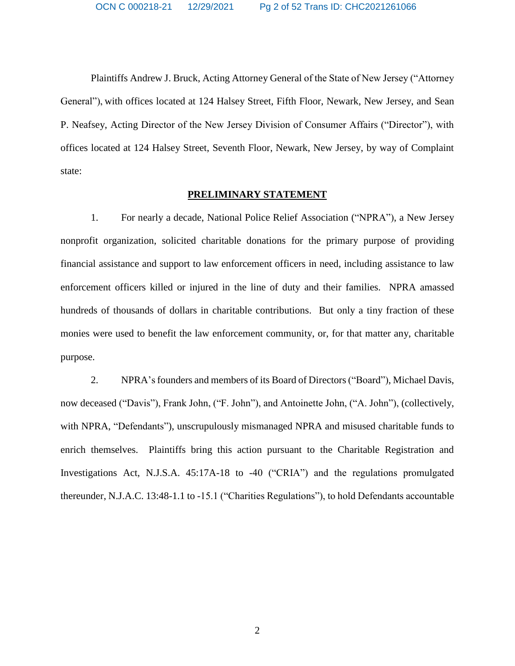Plaintiffs Andrew J. Bruck, Acting Attorney General of the State of New Jersey ("Attorney General"), with offices located at 124 Halsey Street, Fifth Floor, Newark, New Jersey, and Sean P. Neafsey, Acting Director of the New Jersey Division of Consumer Affairs ("Director"), with offices located at 124 Halsey Street, Seventh Floor, Newark, New Jersey, by way of Complaint state:

## **PRELIMINARY STATEMENT**

1. For nearly a decade, National Police Relief Association ("NPRA"), a New Jersey nonprofit organization, solicited charitable donations for the primary purpose of providing financial assistance and support to law enforcement officers in need, including assistance to law enforcement officers killed or injured in the line of duty and their families. NPRA amassed hundreds of thousands of dollars in charitable contributions. But only a tiny fraction of these monies were used to benefit the law enforcement community, or, for that matter any, charitable purpose.

2. NPRA's founders and members of its Board of Directors("Board"), Michael Davis, now deceased ("Davis"), Frank John, ("F. John"), and Antoinette John, ("A. John"), (collectively, with NPRA, "Defendants"), unscrupulously mismanaged NPRA and misused charitable funds to enrich themselves. Plaintiffs bring this action pursuant to the Charitable Registration and Investigations Act, N.J.S.A. 45:17A-18 to -40 ("CRIA") and the regulations promulgated thereunder, N.J.A.C. 13:48-1.1 to -15.1 ("Charities Regulations"), to hold Defendants accountable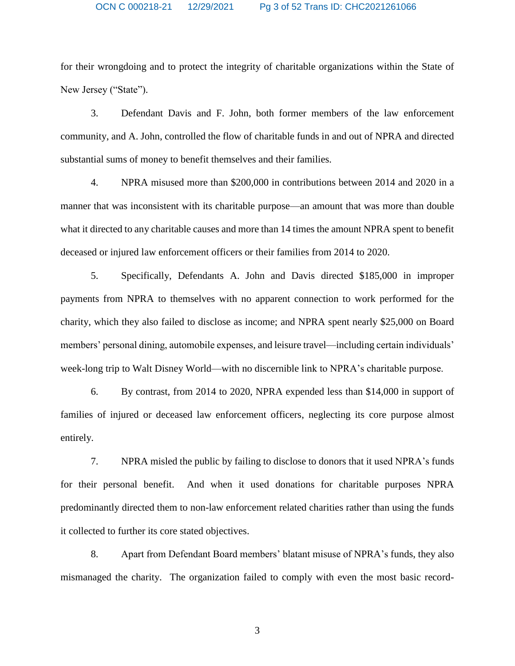for their wrongdoing and to protect the integrity of charitable organizations within the State of New Jersey ("State").

3. Defendant Davis and F. John, both former members of the law enforcement community, and A. John, controlled the flow of charitable funds in and out of NPRA and directed substantial sums of money to benefit themselves and their families.

4. NPRA misused more than \$200,000 in contributions between 2014 and 2020 in a manner that was inconsistent with its charitable purpose—an amount that was more than double what it directed to any charitable causes and more than 14 times the amount NPRA spent to benefit deceased or injured law enforcement officers or their families from 2014 to 2020.

5. Specifically, Defendants A. John and Davis directed \$185,000 in improper payments from NPRA to themselves with no apparent connection to work performed for the charity, which they also failed to disclose as income; and NPRA spent nearly \$25,000 on Board members' personal dining, automobile expenses, and leisure travel—including certain individuals' week-long trip to Walt Disney World—with no discernible link to NPRA's charitable purpose.

6. By contrast, from 2014 to 2020, NPRA expended less than \$14,000 in support of families of injured or deceased law enforcement officers, neglecting its core purpose almost entirely.

7. NPRA misled the public by failing to disclose to donors that it used NPRA's funds for their personal benefit. And when it used donations for charitable purposes NPRA predominantly directed them to non-law enforcement related charities rather than using the funds it collected to further its core stated objectives.

8. Apart from Defendant Board members' blatant misuse of NPRA's funds, they also mismanaged the charity. The organization failed to comply with even the most basic record-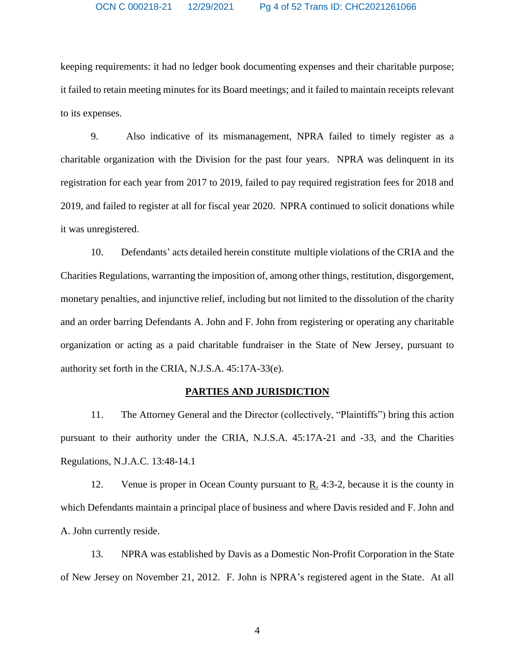keeping requirements: it had no ledger book documenting expenses and their charitable purpose; it failed to retain meeting minutes for its Board meetings; and it failed to maintain receipts relevant to its expenses.

9. Also indicative of its mismanagement, NPRA failed to timely register as a charitable organization with the Division for the past four years. NPRA was delinquent in its registration for each year from 2017 to 2019, failed to pay required registration fees for 2018 and 2019, and failed to register at all for fiscal year 2020. NPRA continued to solicit donations while it was unregistered.

10. Defendants' acts detailed herein constitute multiple violations of the CRIA and the Charities Regulations, warranting the imposition of, among other things, restitution, disgorgement, monetary penalties, and injunctive relief, including but not limited to the dissolution of the charity and an order barring Defendants A. John and F. John from registering or operating any charitable organization or acting as a paid charitable fundraiser in the State of New Jersey, pursuant to authority set forth in the CRIA, N.J.S.A. 45:17A-33(e).

## **PARTIES AND JURISDICTION**

11. The Attorney General and the Director (collectively, "Plaintiffs") bring this action pursuant to their authority under the CRIA, N.J.S.A. 45:17A-21 and -33, and the Charities Regulations, N.J.A.C. 13:48-14.1

12. Venue is proper in Ocean County pursuant to R. 4:3-2, because it is the county in which Defendants maintain a principal place of business and where Davis resided and F. John and A. John currently reside.

13. NPRA was established by Davis as a Domestic Non-Profit Corporation in the State of New Jersey on November 21, 2012. F. John is NPRA's registered agent in the State. At all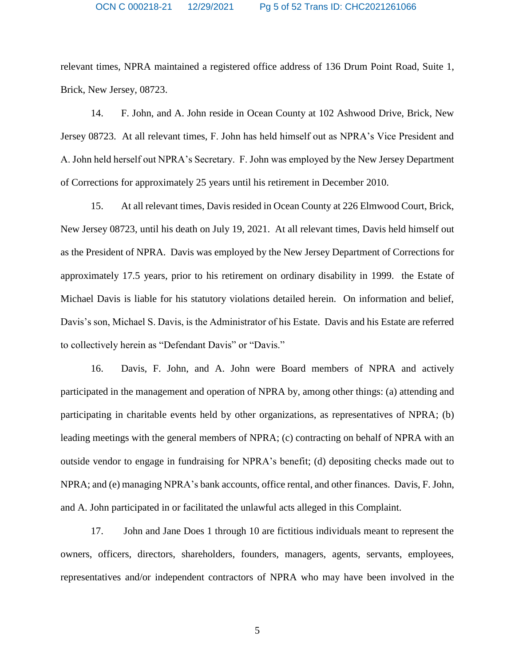relevant times, NPRA maintained a registered office address of 136 Drum Point Road, Suite 1, Brick, New Jersey, 08723.

14. F. John, and A. John reside in Ocean County at 102 Ashwood Drive, Brick, New Jersey 08723. At all relevant times, F. John has held himself out as NPRA's Vice President and A. John held herself out NPRA's Secretary. F. John was employed by the New Jersey Department of Corrections for approximately 25 years until his retirement in December 2010.

15. At all relevant times, Davis resided in Ocean County at 226 Elmwood Court, Brick, New Jersey 08723, until his death on July 19, 2021. At all relevant times, Davis held himself out as the President of NPRA. Davis was employed by the New Jersey Department of Corrections for approximately 17.5 years, prior to his retirement on ordinary disability in 1999. the Estate of Michael Davis is liable for his statutory violations detailed herein. On information and belief, Davis's son, Michael S. Davis, is the Administrator of his Estate. Davis and his Estate are referred to collectively herein as "Defendant Davis" or "Davis."

16. Davis, F. John, and A. John were Board members of NPRA and actively participated in the management and operation of NPRA by, among other things: (a) attending and participating in charitable events held by other organizations, as representatives of NPRA; (b) leading meetings with the general members of NPRA; (c) contracting on behalf of NPRA with an outside vendor to engage in fundraising for NPRA's benefit; (d) depositing checks made out to NPRA; and (e) managing NPRA's bank accounts, office rental, and other finances. Davis, F. John, and A. John participated in or facilitated the unlawful acts alleged in this Complaint.

17. John and Jane Does 1 through 10 are fictitious individuals meant to represent the owners, officers, directors, shareholders, founders, managers, agents, servants, employees, representatives and/or independent contractors of NPRA who may have been involved in the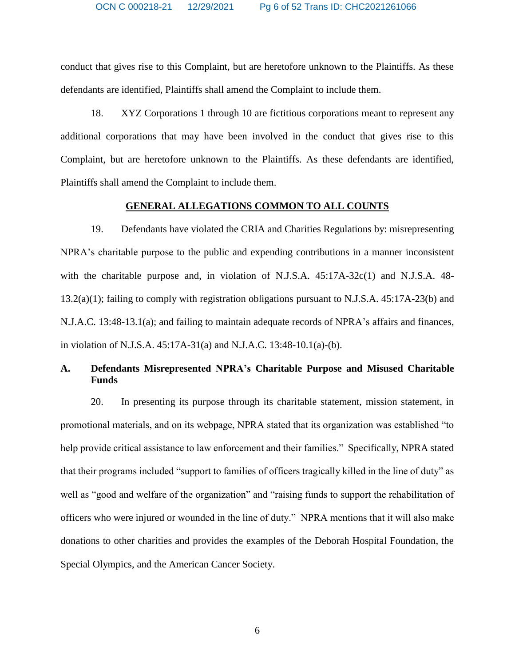conduct that gives rise to this Complaint, but are heretofore unknown to the Plaintiffs. As these defendants are identified, Plaintiffs shall amend the Complaint to include them.

18. XYZ Corporations 1 through 10 are fictitious corporations meant to represent any additional corporations that may have been involved in the conduct that gives rise to this Complaint, but are heretofore unknown to the Plaintiffs. As these defendants are identified, Plaintiffs shall amend the Complaint to include them.

## **GENERAL ALLEGATIONS COMMON TO ALL COUNTS**

19. Defendants have violated the CRIA and Charities Regulations by: misrepresenting NPRA's charitable purpose to the public and expending contributions in a manner inconsistent with the charitable purpose and, in violation of N.J.S.A.  $45:17A-32c(1)$  and N.J.S.A.  $48-$ 13.2(a)(1); failing to comply with registration obligations pursuant to N.J.S.A. 45:17A-23(b) and N.J.A.C. 13:48-13.1(a); and failing to maintain adequate records of NPRA's affairs and finances, in violation of N.J.S.A. 45:17A-31(a) and N.J.A.C. 13:48-10.1(a)-(b).

# **A. Defendants Misrepresented NPRA's Charitable Purpose and Misused Charitable Funds**

20. In presenting its purpose through its charitable statement, mission statement, in promotional materials, and on its webpage, NPRA stated that its organization was established "to help provide critical assistance to law enforcement and their families." Specifically, NPRA stated that their programs included "support to families of officers tragically killed in the line of duty" as well as "good and welfare of the organization" and "raising funds to support the rehabilitation of officers who were injured or wounded in the line of duty." NPRA mentions that it will also make donations to other charities and provides the examples of the Deborah Hospital Foundation, the Special Olympics, and the American Cancer Society.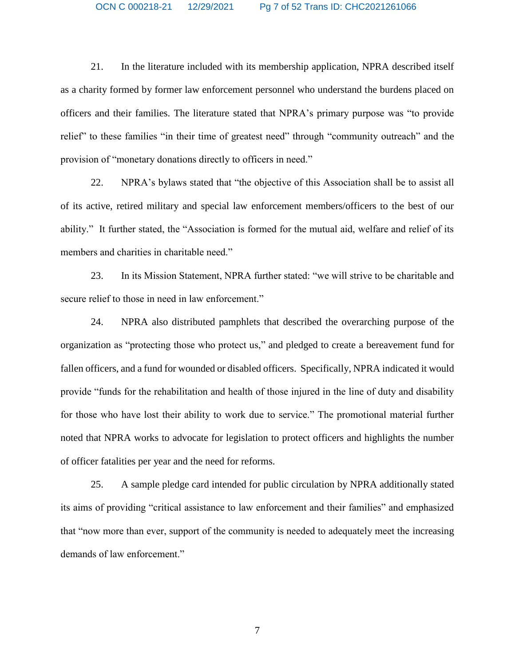21. In the literature included with its membership application, NPRA described itself as a charity formed by former law enforcement personnel who understand the burdens placed on officers and their families. The literature stated that NPRA's primary purpose was "to provide relief" to these families "in their time of greatest need" through "community outreach" and the provision of "monetary donations directly to officers in need."

22. NPRA's bylaws stated that "the objective of this Association shall be to assist all of its active, retired military and special law enforcement members/officers to the best of our ability." It further stated, the "Association is formed for the mutual aid, welfare and relief of its members and charities in charitable need."

23. In its Mission Statement, NPRA further stated: "we will strive to be charitable and secure relief to those in need in law enforcement."

24. NPRA also distributed pamphlets that described the overarching purpose of the organization as "protecting those who protect us," and pledged to create a bereavement fund for fallen officers, and a fund for wounded or disabled officers. Specifically, NPRA indicated it would provide "funds for the rehabilitation and health of those injured in the line of duty and disability for those who have lost their ability to work due to service." The promotional material further noted that NPRA works to advocate for legislation to protect officers and highlights the number of officer fatalities per year and the need for reforms.

25. A sample pledge card intended for public circulation by NPRA additionally stated its aims of providing "critical assistance to law enforcement and their families" and emphasized that "now more than ever, support of the community is needed to adequately meet the increasing demands of law enforcement."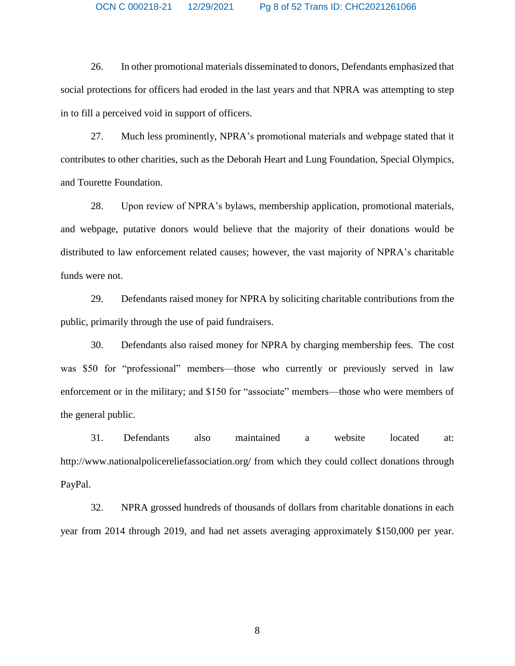26. In other promotional materials disseminated to donors, Defendants emphasized that social protections for officers had eroded in the last years and that NPRA was attempting to step in to fill a perceived void in support of officers.

27. Much less prominently, NPRA's promotional materials and webpage stated that it contributes to other charities, such as the Deborah Heart and Lung Foundation, Special Olympics, and Tourette Foundation.

28. Upon review of NPRA's bylaws, membership application, promotional materials, and webpage, putative donors would believe that the majority of their donations would be distributed to law enforcement related causes; however, the vast majority of NPRA's charitable funds were not.

29. Defendants raised money for NPRA by soliciting charitable contributions from the public, primarily through the use of paid fundraisers.

30. Defendants also raised money for NPRA by charging membership fees. The cost was \$50 for "professional" members—those who currently or previously served in law enforcement or in the military; and \$150 for "associate" members—those who were members of the general public.

31. Defendants also maintained a website located at: http://www.nationalpolicereliefassociation.org/ from which they could collect donations through PayPal.

32. NPRA grossed hundreds of thousands of dollars from charitable donations in each year from 2014 through 2019, and had net assets averaging approximately \$150,000 per year.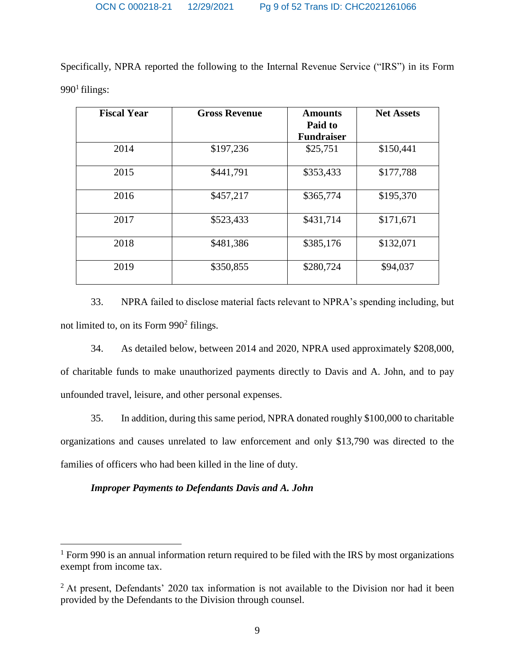Specifically, NPRA reported the following to the Internal Revenue Service ("IRS") in its Form  $990<sup>1</sup>$  filings:

| <b>Fiscal Year</b> | <b>Gross Revenue</b> | <b>Amounts</b><br>Paid to | <b>Net Assets</b> |
|--------------------|----------------------|---------------------------|-------------------|
|                    |                      | <b>Fundraiser</b>         |                   |
| 2014               | \$197,236            | \$25,751                  | \$150,441         |
| 2015               | \$441,791            | \$353,433                 | \$177,788         |
| 2016               | \$457,217            | \$365,774                 | \$195,370         |
| 2017               | \$523,433            | \$431,714                 | \$171,671         |
| 2018               | \$481,386            | \$385,176                 | \$132,071         |
| 2019               | \$350,855            | \$280,724                 | \$94,037          |

33. NPRA failed to disclose material facts relevant to NPRA's spending including, but not limited to, on its Form  $990<sup>2</sup>$  filings.

34. As detailed below, between 2014 and 2020, NPRA used approximately \$208,000, of charitable funds to make unauthorized payments directly to Davis and A. John, and to pay unfounded travel, leisure, and other personal expenses.

35. In addition, during this same period, NPRA donated roughly \$100,000 to charitable organizations and causes unrelated to law enforcement and only \$13,790 was directed to the families of officers who had been killed in the line of duty.

## *Improper Payments to Defendants Davis and A. John*

 $\overline{a}$ 

<sup>&</sup>lt;sup>1</sup> Form 990 is an annual information return required to be filed with the IRS by most organizations exempt from income tax.

 $2$  At present, Defendants' 2020 tax information is not available to the Division nor had it been provided by the Defendants to the Division through counsel.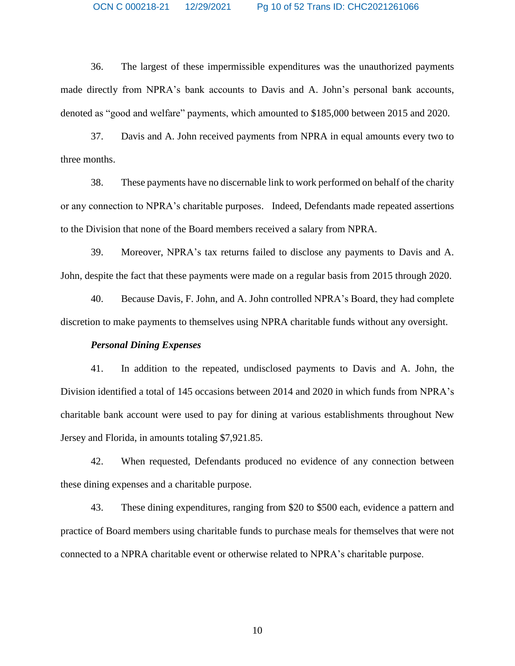36. The largest of these impermissible expenditures was the unauthorized payments made directly from NPRA's bank accounts to Davis and A. John's personal bank accounts, denoted as "good and welfare" payments, which amounted to \$185,000 between 2015 and 2020.

37. Davis and A. John received payments from NPRA in equal amounts every two to three months.

38. These payments have no discernable link to work performed on behalf of the charity or any connection to NPRA's charitable purposes. Indeed, Defendants made repeated assertions to the Division that none of the Board members received a salary from NPRA.

39. Moreover, NPRA's tax returns failed to disclose any payments to Davis and A. John, despite the fact that these payments were made on a regular basis from 2015 through 2020.

40. Because Davis, F. John, and A. John controlled NPRA's Board, they had complete discretion to make payments to themselves using NPRA charitable funds without any oversight.

## *Personal Dining Expenses*

41. In addition to the repeated, undisclosed payments to Davis and A. John, the Division identified a total of 145 occasions between 2014 and 2020 in which funds from NPRA's charitable bank account were used to pay for dining at various establishments throughout New Jersey and Florida, in amounts totaling \$7,921.85.

42. When requested, Defendants produced no evidence of any connection between these dining expenses and a charitable purpose.

43. These dining expenditures, ranging from \$20 to \$500 each, evidence a pattern and practice of Board members using charitable funds to purchase meals for themselves that were not connected to a NPRA charitable event or otherwise related to NPRA's charitable purpose.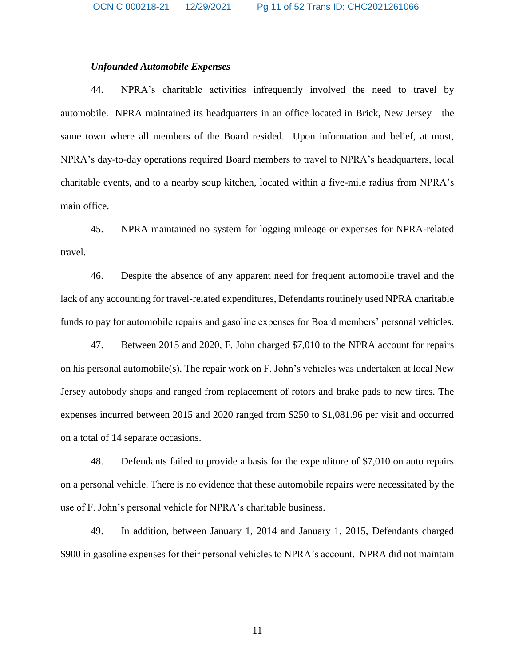## *Unfounded Automobile Expenses*

44. NPRA's charitable activities infrequently involved the need to travel by automobile. NPRA maintained its headquarters in an office located in Brick, New Jersey—the same town where all members of the Board resided. Upon information and belief, at most, NPRA's day-to-day operations required Board members to travel to NPRA's headquarters, local charitable events, and to a nearby soup kitchen, located within a five-mile radius from NPRA's main office.

45. NPRA maintained no system for logging mileage or expenses for NPRA-related travel.

46. Despite the absence of any apparent need for frequent automobile travel and the lack of any accounting for travel-related expenditures, Defendants routinely used NPRA charitable funds to pay for automobile repairs and gasoline expenses for Board members' personal vehicles.

47. Between 2015 and 2020, F. John charged \$7,010 to the NPRA account for repairs on his personal automobile(s). The repair work on F. John's vehicles was undertaken at local New Jersey autobody shops and ranged from replacement of rotors and brake pads to new tires. The expenses incurred between 2015 and 2020 ranged from \$250 to \$1,081.96 per visit and occurred on a total of 14 separate occasions.

48. Defendants failed to provide a basis for the expenditure of \$7,010 on auto repairs on a personal vehicle. There is no evidence that these automobile repairs were necessitated by the use of F. John's personal vehicle for NPRA's charitable business.

49. In addition, between January 1, 2014 and January 1, 2015, Defendants charged \$900 in gasoline expenses for their personal vehicles to NPRA's account. NPRA did not maintain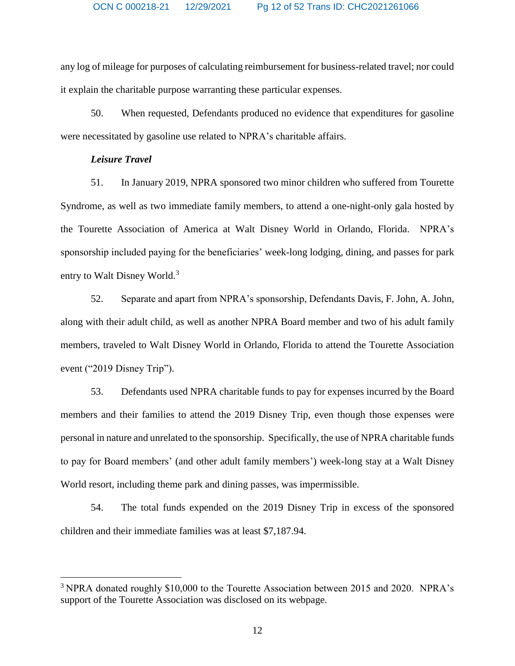any log of mileage for purposes of calculating reimbursement for business-related travel; nor could it explain the charitable purpose warranting these particular expenses.

50. When requested, Defendants produced no evidence that expenditures for gasoline were necessitated by gasoline use related to NPRA's charitable affairs.

## *Leisure Travel*

 $\overline{a}$ 

51. In January 2019, NPRA sponsored two minor children who suffered from Tourette Syndrome, as well as two immediate family members, to attend a one-night-only gala hosted by the Tourette Association of America at Walt Disney World in Orlando, Florida. NPRA's sponsorship included paying for the beneficiaries' week-long lodging, dining, and passes for park entry to Walt Disney World.<sup>3</sup>

52. Separate and apart from NPRA's sponsorship, Defendants Davis, F. John, A. John, along with their adult child, as well as another NPRA Board member and two of his adult family members, traveled to Walt Disney World in Orlando, Florida to attend the Tourette Association event ("2019 Disney Trip").

53. Defendants used NPRA charitable funds to pay for expenses incurred by the Board members and their families to attend the 2019 Disney Trip, even though those expenses were personal in nature and unrelated to the sponsorship. Specifically, the use of NPRA charitable funds to pay for Board members' (and other adult family members') week-long stay at a Walt Disney World resort, including theme park and dining passes, was impermissible.

54. The total funds expended on the 2019 Disney Trip in excess of the sponsored children and their immediate families was at least \$7,187.94.

<sup>&</sup>lt;sup>3</sup> NPRA donated roughly \$10,000 to the Tourette Association between 2015 and 2020. NPRA's support of the Tourette Association was disclosed on its webpage.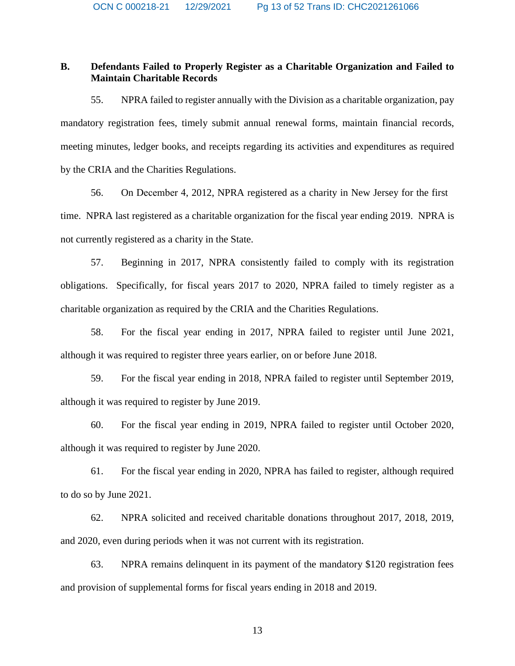## **B. Defendants Failed to Properly Register as a Charitable Organization and Failed to Maintain Charitable Records**

55. NPRA failed to register annually with the Division as a charitable organization, pay mandatory registration fees, timely submit annual renewal forms, maintain financial records, meeting minutes, ledger books, and receipts regarding its activities and expenditures as required by the CRIA and the Charities Regulations.

56. On December 4, 2012, NPRA registered as a charity in New Jersey for the first time. NPRA last registered as a charitable organization for the fiscal year ending 2019. NPRA is not currently registered as a charity in the State.

57. Beginning in 2017, NPRA consistently failed to comply with its registration obligations. Specifically, for fiscal years 2017 to 2020, NPRA failed to timely register as a charitable organization as required by the CRIA and the Charities Regulations.

58. For the fiscal year ending in 2017, NPRA failed to register until June 2021, although it was required to register three years earlier, on or before June 2018.

59. For the fiscal year ending in 2018, NPRA failed to register until September 2019, although it was required to register by June 2019.

60. For the fiscal year ending in 2019, NPRA failed to register until October 2020, although it was required to register by June 2020.

61. For the fiscal year ending in 2020, NPRA has failed to register, although required to do so by June 2021.

62. NPRA solicited and received charitable donations throughout 2017, 2018, 2019, and 2020, even during periods when it was not current with its registration.

63. NPRA remains delinquent in its payment of the mandatory \$120 registration fees and provision of supplemental forms for fiscal years ending in 2018 and 2019.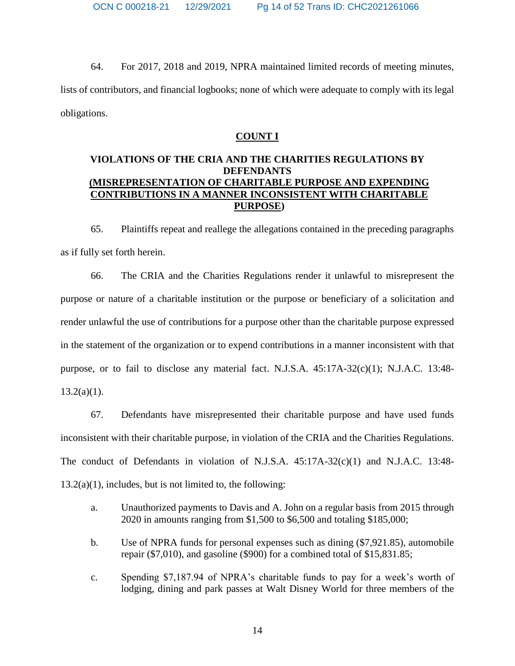64. For 2017, 2018 and 2019, NPRA maintained limited records of meeting minutes, lists of contributors, and financial logbooks; none of which were adequate to comply with its legal obligations.

## **COUNT I**

## **VIOLATIONS OF THE CRIA AND THE CHARITIES REGULATIONS BY DEFENDANTS (MISREPRESENTATION OF CHARITABLE PURPOSE AND EXPENDING CONTRIBUTIONS IN A MANNER INCONSISTENT WITH CHARITABLE PURPOSE)**

65. Plaintiffs repeat and reallege the allegations contained in the preceding paragraphs as if fully set forth herein.

66. The CRIA and the Charities Regulations render it unlawful to misrepresent the purpose or nature of a charitable institution or the purpose or beneficiary of a solicitation and render unlawful the use of contributions for a purpose other than the charitable purpose expressed in the statement of the organization or to expend contributions in a manner inconsistent with that purpose, or to fail to disclose any material fact. N.J.S.A.  $45:17A-32(c)(1)$ ; N.J.A.C. 13:48- $13.2(a)(1)$ .

67. Defendants have misrepresented their charitable purpose and have used funds inconsistent with their charitable purpose, in violation of the CRIA and the Charities Regulations. The conduct of Defendants in violation of N.J.S.A. 45:17A-32(c)(1) and N.J.A.C. 13:48-  $13.2(a)(1)$ , includes, but is not limited to, the following:

- a. Unauthorized payments to Davis and A. John on a regular basis from 2015 through 2020 in amounts ranging from \$1,500 to \$6,500 and totaling \$185,000;
- b. Use of NPRA funds for personal expenses such as dining (\$7,921.85), automobile repair (\$7,010), and gasoline (\$900) for a combined total of \$15,831.85;
- c. Spending \$7,187.94 of NPRA's charitable funds to pay for a week's worth of lodging, dining and park passes at Walt Disney World for three members of the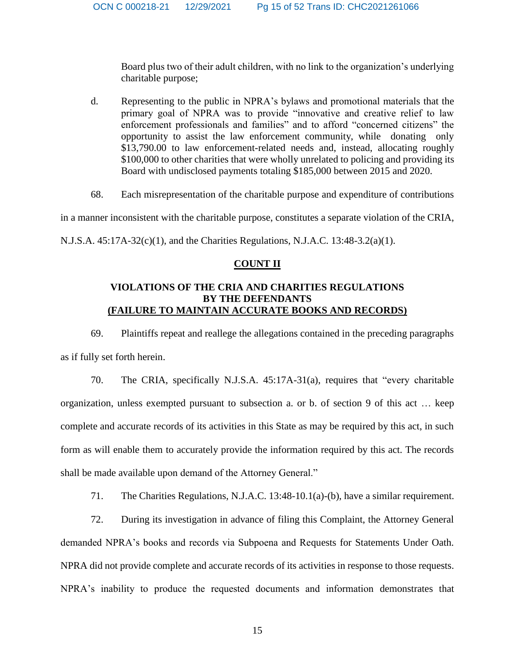Board plus two of their adult children, with no link to the organization's underlying charitable purpose;

- d. Representing to the public in NPRA's bylaws and promotional materials that the primary goal of NPRA was to provide "innovative and creative relief to law enforcement professionals and families" and to afford "concerned citizens" the opportunity to assist the law enforcement community, while donating only \$13,790.00 to law enforcement-related needs and, instead, allocating roughly \$100,000 to other charities that were wholly unrelated to policing and providing its Board with undisclosed payments totaling \$185,000 between 2015 and 2020.
- 68. Each misrepresentation of the charitable purpose and expenditure of contributions

in a manner inconsistent with the charitable purpose, constitutes a separate violation of the CRIA,

N.J.S.A. 45:17A-32(c)(1), and the Charities Regulations, N.J.A.C. 13:48-3.2(a)(1).

## **COUNT II**

## **VIOLATIONS OF THE CRIA AND CHARITIES REGULATIONS BY THE DEFENDANTS (FAILURE TO MAINTAIN ACCURATE BOOKS AND RECORDS)**

69. Plaintiffs repeat and reallege the allegations contained in the preceding paragraphs as if fully set forth herein.

70. The CRIA, specifically N.J.S.A. 45:17A-31(a), requires that "every charitable organization, unless exempted pursuant to subsection a. or b. of section 9 of this act … keep complete and accurate records of its activities in this State as may be required by this act, in such form as will enable them to accurately provide the information required by this act. The records shall be made available upon demand of the Attorney General."

71. The Charities Regulations, N.J.A.C. 13:48-10.1(a)-(b), have a similar requirement.

72. During its investigation in advance of filing this Complaint, the Attorney General demanded NPRA's books and records via Subpoena and Requests for Statements Under Oath. NPRA did not provide complete and accurate records of its activities in response to those requests. NPRA's inability to produce the requested documents and information demonstrates that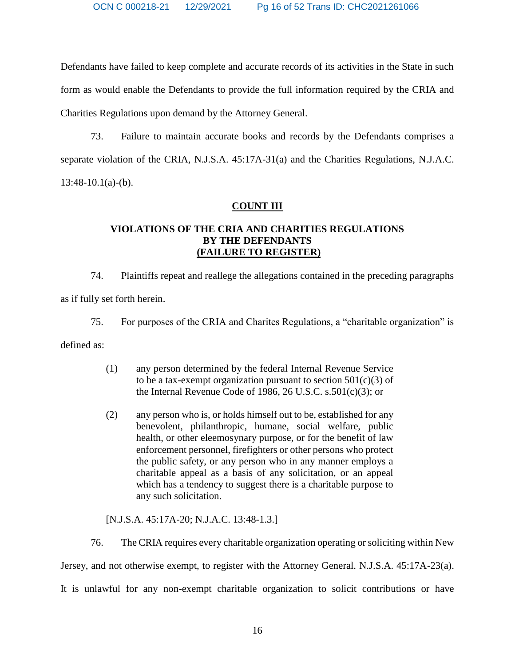Defendants have failed to keep complete and accurate records of its activities in the State in such form as would enable the Defendants to provide the full information required by the CRIA and Charities Regulations upon demand by the Attorney General.

73. Failure to maintain accurate books and records by the Defendants comprises a separate violation of the CRIA, N.J.S.A. 45:17A-31(a) and the Charities Regulations, N.J.A.C.  $13:48-10.1(a)-(b)$ .

## **COUNT III**

# **VIOLATIONS OF THE CRIA AND CHARITIES REGULATIONS BY THE DEFENDANTS (FAILURE TO REGISTER)**

74. Plaintiffs repeat and reallege the allegations contained in the preceding paragraphs as if fully set forth herein.

75. For purposes of the CRIA and Charites Regulations, a "charitable organization" is

defined as:

- (1) any person determined by the federal Internal Revenue Service to be a tax-exempt organization pursuant to section  $501(c)(3)$  of the Internal Revenue Code of 1986, 26 U.S.C. s.501(c)(3); or
- (2) any person who is, or holds himself out to be, established for any benevolent, philanthropic, humane, social welfare, public health, or other eleemosynary purpose, or for the benefit of law enforcement personnel, firefighters or other persons who protect the public safety, or any person who in any manner employs a charitable appeal as a basis of any solicitation, or an appeal which has a tendency to suggest there is a charitable purpose to any such solicitation.

[N.J.S.A. 45:17A-20; N.J.A.C. 13:48-1.3.]

76. The CRIA requires every charitable organization operating or soliciting within New Jersey, and not otherwise exempt, to register with the Attorney General. N.J.S.A. 45:17A-23(a). It is unlawful for any non-exempt charitable organization to solicit contributions or have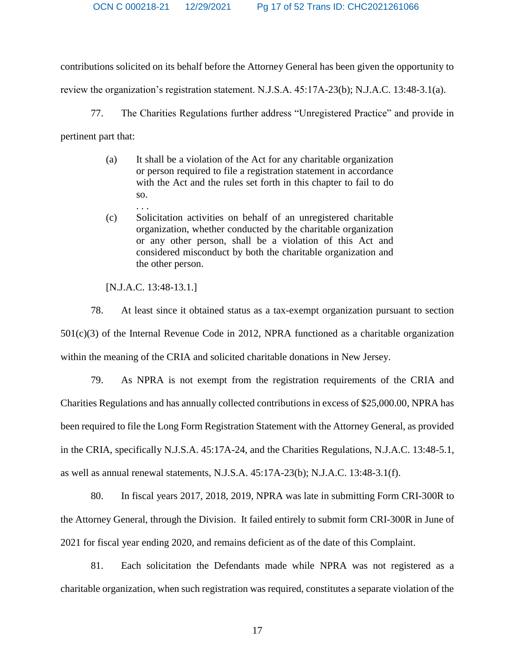OCN C 000218-21 12/29/2021 Pg 17 of 52 Trans ID: CHC2021261066

contributions solicited on its behalf before the Attorney General has been given the opportunity to

review the organization's registration statement. N.J.S.A. 45:17A-23(b); N.J.A.C. 13:48-3.1(a).

77. The Charities Regulations further address "Unregistered Practice" and provide in pertinent part that:

- (a) It shall be a violation of the Act for any charitable organization or person required to file a registration statement in accordance with the Act and the rules set forth in this chapter to fail to do so.
- . . . (c) Solicitation activities on behalf of an unregistered charitable organization, whether conducted by the charitable organization or any other person, shall be a violation of this Act and considered misconduct by both the charitable organization and the other person.

[N.J.A.C. 13:48-13.1.]

78. At least since it obtained status as a tax-exempt organization pursuant to section 501(c)(3) of the Internal Revenue Code in 2012, NPRA functioned as a charitable organization within the meaning of the CRIA and solicited charitable donations in New Jersey.

79. As NPRA is not exempt from the registration requirements of the CRIA and Charities Regulations and has annually collected contributions in excess of \$25,000.00, NPRA has been required to file the Long Form Registration Statement with the Attorney General, as provided in the CRIA, specifically N.J.S.A. 45:17A-24, and the Charities Regulations, N.J.A.C. 13:48-5.1, as well as annual renewal statements, N.J.S.A. 45:17A-23(b); N.J.A.C. 13:48-3.1(f).

80. In fiscal years 2017, 2018, 2019, NPRA was late in submitting Form CRI-300R to the Attorney General, through the Division. It failed entirely to submit form CRI-300R in June of 2021 for fiscal year ending 2020, and remains deficient as of the date of this Complaint.

81. Each solicitation the Defendants made while NPRA was not registered as a charitable organization, when such registration was required, constitutes a separate violation of the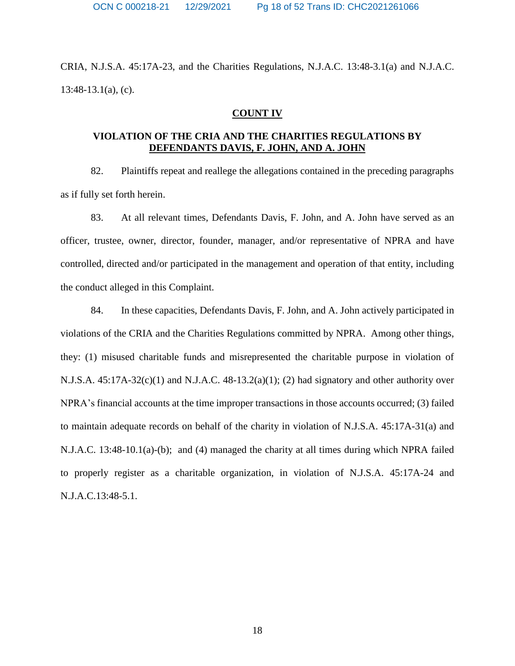CRIA, N.J.S.A. 45:17A-23, and the Charities Regulations, N.J.A.C. 13:48-3.1(a) and N.J.A.C. 13:48-13.1(a), (c).

#### **COUNT IV**

## **VIOLATION OF THE CRIA AND THE CHARITIES REGULATIONS BY DEFENDANTS DAVIS, F. JOHN, AND A. JOHN**

82. Plaintiffs repeat and reallege the allegations contained in the preceding paragraphs as if fully set forth herein.

83. At all relevant times, Defendants Davis, F. John, and A. John have served as an officer, trustee, owner, director, founder, manager, and/or representative of NPRA and have controlled, directed and/or participated in the management and operation of that entity, including the conduct alleged in this Complaint.

84. In these capacities, Defendants Davis, F. John, and A. John actively participated in violations of the CRIA and the Charities Regulations committed by NPRA. Among other things, they: (1) misused charitable funds and misrepresented the charitable purpose in violation of N.J.S.A. 45:17A-32(c)(1) and N.J.A.C. 48-13.2(a)(1); (2) had signatory and other authority over NPRA's financial accounts at the time improper transactions in those accounts occurred; (3) failed to maintain adequate records on behalf of the charity in violation of N.J.S.A. 45:17A-31(a) and N.J.A.C. 13:48-10.1(a)-(b); and (4) managed the charity at all times during which NPRA failed to properly register as a charitable organization, in violation of N.J.S.A. 45:17A-24 and N.J.A.C.13:48-5.1.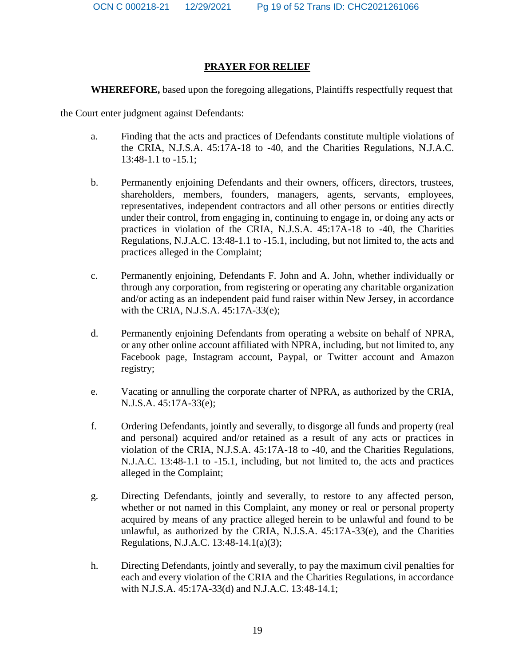## **PRAYER FOR RELIEF**

**WHEREFORE,** based upon the foregoing allegations, Plaintiffs respectfully request that

the Court enter judgment against Defendants:

- a. Finding that the acts and practices of Defendants constitute multiple violations of the CRIA, N.J.S.A. 45:17A-18 to -40, and the Charities Regulations, N.J.A.C. 13:48-1.1 to -15.1;
- b. Permanently enjoining Defendants and their owners, officers, directors, trustees, shareholders, members, founders, managers, agents, servants, employees, representatives, independent contractors and all other persons or entities directly under their control, from engaging in, continuing to engage in, or doing any acts or practices in violation of the CRIA, N.J.S.A. 45:17A-18 to -40, the Charities Regulations, N.J.A.C. 13:48-1.1 to -15.1, including, but not limited to, the acts and practices alleged in the Complaint;
- c. Permanently enjoining, Defendants F. John and A. John, whether individually or through any corporation, from registering or operating any charitable organization and/or acting as an independent paid fund raiser within New Jersey, in accordance with the CRIA, N.J.S.A. 45:17A-33(e);
- d. Permanently enjoining Defendants from operating a website on behalf of NPRA, or any other online account affiliated with NPRA, including, but not limited to, any Facebook page, Instagram account, Paypal, or Twitter account and Amazon registry;
- e. Vacating or annulling the corporate charter of NPRA, as authorized by the CRIA, N.J.S.A. 45:17A-33(e);
- f. Ordering Defendants, jointly and severally, to disgorge all funds and property (real and personal) acquired and/or retained as a result of any acts or practices in violation of the CRIA, N.J.S.A. 45:17A-18 to -40, and the Charities Regulations, N.J.A.C. 13:48-1.1 to -15.1, including, but not limited to, the acts and practices alleged in the Complaint;
- g. Directing Defendants, jointly and severally, to restore to any affected person, whether or not named in this Complaint, any money or real or personal property acquired by means of any practice alleged herein to be unlawful and found to be unlawful, as authorized by the CRIA, N.J.S.A. 45:17A-33(e), and the Charities Regulations, N.J.A.C. 13:48-14.1(a)(3);
- h. Directing Defendants, jointly and severally, to pay the maximum civil penalties for each and every violation of the CRIA and the Charities Regulations, in accordance with N.J.S.A. 45:17A-33(d) and N.J.A.C. 13:48-14.1;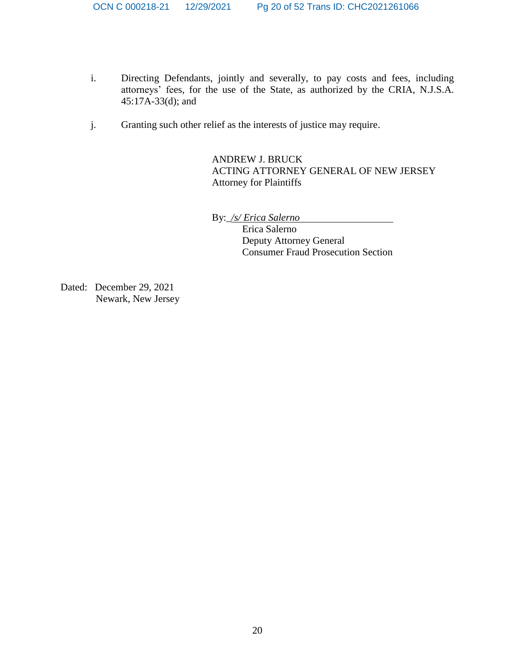- i. Directing Defendants, jointly and severally, to pay costs and fees, including attorneys' fees, for the use of the State, as authorized by the CRIA, N.J.S.A. 45:17A-33(d); and
- j. Granting such other relief as the interests of justice may require.

ANDREW J. BRUCK ACTING ATTORNEY GENERAL OF NEW JERSEY Attorney for Plaintiffs

By:\_*/s/ Erica Salerno*

Erica Salerno Deputy Attorney General Consumer Fraud Prosecution Section

Dated: December 29, 2021 Newark, New Jersey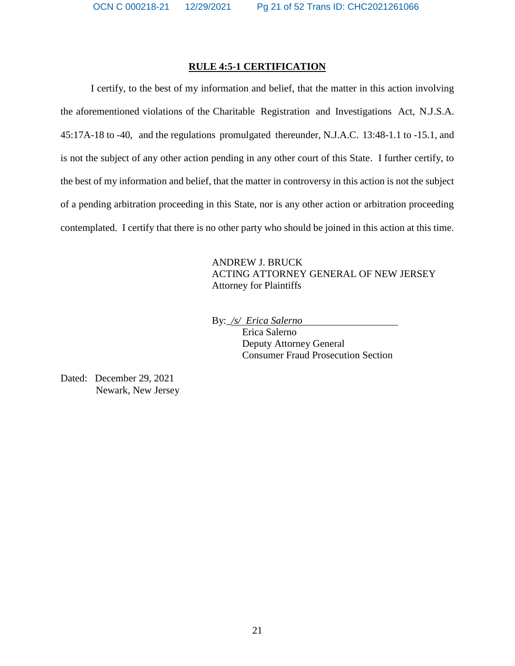## **RULE 4:5-1 CERTIFICATION**

I certify, to the best of my information and belief, that the matter in this action involving the aforementioned violations of the Charitable Registration and Investigations Act, N.J.S.A. 45:17A-18 to -40, and the regulations promulgated thereunder, N.J.A.C. 13:48-1.1 to -15.1, and is not the subject of any other action pending in any other court of this State. I further certify, to the best of my information and belief, that the matter in controversy in this action is not the subject of a pending arbitration proceeding in this State, nor is any other action or arbitration proceeding contemplated. I certify that there is no other party who should be joined in this action at this time.

> ANDREW J. BRUCK ACTING ATTORNEY GENERAL OF NEW JERSEY Attorney for Plaintiffs

By:\_*/s/ Erica Salerno* 

Erica Salerno Deputy Attorney General Consumer Fraud Prosecution Section

Dated: December 29, 2021 Newark, New Jersey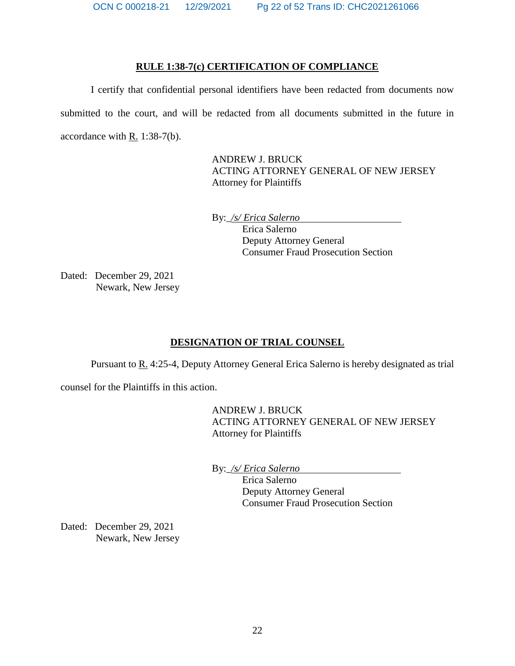### **RULE 1:38-7(c) CERTIFICATION OF COMPLIANCE**

I certify that confidential personal identifiers have been redacted from documents now submitted to the court, and will be redacted from all documents submitted in the future in accordance with R. 1:38-7(b).

> ANDREW J. BRUCK ACTING ATTORNEY GENERAL OF NEW JERSEY Attorney for Plaintiffs

By:\_*/s/ Erica Salerno* 

Erica Salerno Deputy Attorney General Consumer Fraud Prosecution Section

Dated: December 29, 2021 Newark, New Jersey

## **DESIGNATION OF TRIAL COUNSEL**

Pursuant to R. 4:25-4, Deputy Attorney General Erica Salerno is hereby designated as trial

counsel for the Plaintiffs in this action.

ANDREW J. BRUCK ACTING ATTORNEY GENERAL OF NEW JERSEY Attorney for Plaintiffs

By:\_*/s/ Erica Salerno* 

Erica Salerno Deputy Attorney General Consumer Fraud Prosecution Section

Dated: December 29, 2021 Newark, New Jersey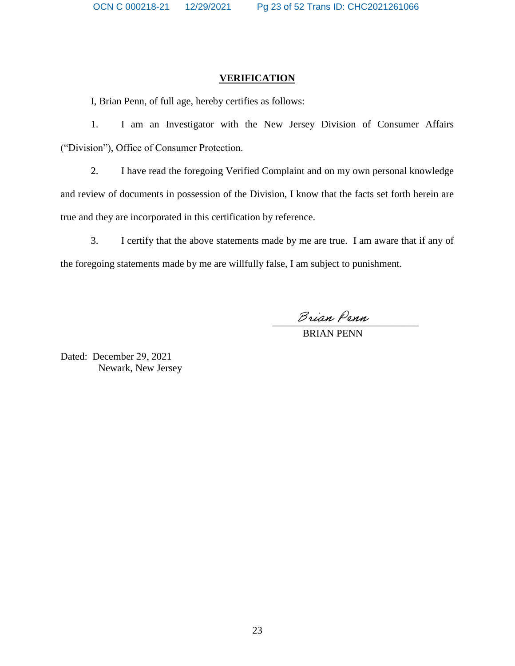## **VERIFICATION**

I, Brian Penn, of full age, hereby certifies as follows:

1. I am an Investigator with the New Jersey Division of Consumer Affairs ("Division"), Office of Consumer Protection.

2. I have read the foregoing Verified Complaint and on my own personal knowledge and review of documents in possession of the Division, I know that the facts set forth herein are true and they are incorporated in this certification by reference.

3. I certify that the above statements made by me are true. I am aware that if any of the foregoing statements made by me are willfully false, I am subject to punishment.

Brian Penn

BRIAN PENN

Dated: December 29, 2021 Newark, New Jersey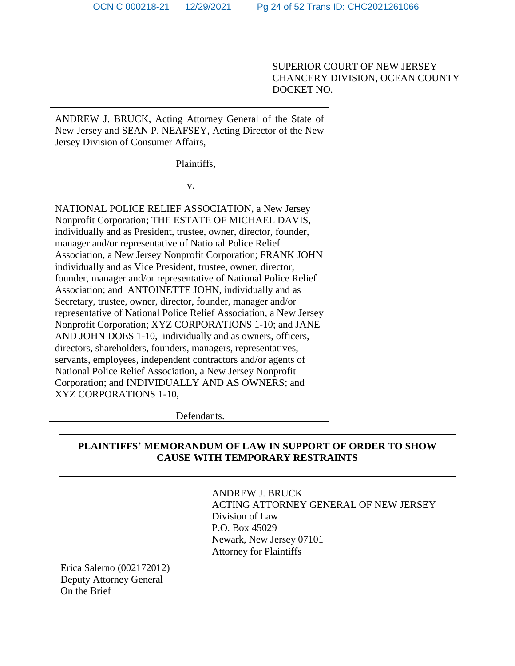SUPERIOR COURT OF NEW JERSEY CHANCERY DIVISION, OCEAN COUNTY DOCKET NO.

ANDREW J. BRUCK, Acting Attorney General of the State of New Jersey and SEAN P. NEAFSEY, Acting Director of the New Jersey Division of Consumer Affairs,

Plaintiffs,

v.

NATIONAL POLICE RELIEF ASSOCIATION, a New Jersey Nonprofit Corporation; THE ESTATE OF MICHAEL DAVIS, individually and as President, trustee, owner, director, founder, manager and/or representative of National Police Relief Association, a New Jersey Nonprofit Corporation; FRANK JOHN individually and as Vice President, trustee, owner, director, founder, manager and/or representative of National Police Relief Association; and ANTOINETTE JOHN, individually and as Secretary, trustee, owner, director, founder, manager and/or representative of National Police Relief Association, a New Jersey Nonprofit Corporation; XYZ CORPORATIONS 1-10; and JANE AND JOHN DOES 1-10, individually and as owners, officers, directors, shareholders, founders, managers, representatives, servants, employees, independent contractors and/or agents of National Police Relief Association, a New Jersey Nonprofit Corporation; and INDIVIDUALLY AND AS OWNERS; and XYZ CORPORATIONS 1-10,

Defendants.

# **PLAINTIFFS' MEMORANDUM OF LAW IN SUPPORT OF ORDER TO SHOW CAUSE WITH TEMPORARY RESTRAINTS**

ANDREW J. BRUCK ACTING ATTORNEY GENERAL OF NEW JERSEY Division of Law P.O. Box 45029 Newark, New Jersey 07101 Attorney for Plaintiffs

Erica Salerno (002172012) Deputy Attorney General On the Brief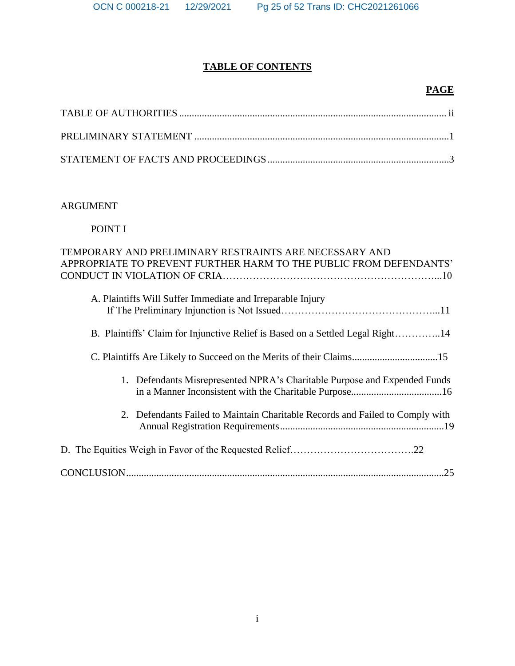# **TABLE OF CONTENTS**

# **PAGE**

# ARGUMENT

# POINT I

| TEMPORARY AND PRELIMINARY RESTRAINTS ARE NECESSARY AND<br>APPROPRIATE TO PREVENT FURTHER HARM TO THE PUBLIC FROM DEFENDANTS' |
|------------------------------------------------------------------------------------------------------------------------------|
| A. Plaintiffs Will Suffer Immediate and Irreparable Injury                                                                   |
| B. Plaintiffs' Claim for Injunctive Relief is Based on a Settled Legal Right14                                               |
|                                                                                                                              |
| 1. Defendants Misrepresented NPRA's Charitable Purpose and Expended Funds                                                    |
| 2. Defendants Failed to Maintain Charitable Records and Failed to Comply with                                                |
|                                                                                                                              |
|                                                                                                                              |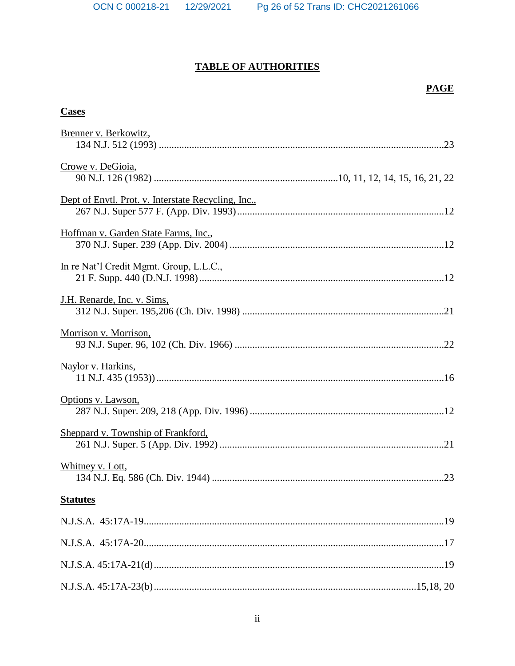# **TABLE OF AUTHORITIES**

# **PAGE**

## **Cases**

| Brenner v. Berkowitz,                               |  |
|-----------------------------------------------------|--|
|                                                     |  |
| Crowe v. DeGioia,                                   |  |
|                                                     |  |
| Dept of Envtl. Prot. v. Interstate Recycling, Inc., |  |
|                                                     |  |
| Hoffman v. Garden State Farms, Inc.,                |  |
|                                                     |  |
| In re Nat'l Credit Mgmt. Group, L.L.C.,             |  |
|                                                     |  |
| J.H. Renarde, Inc. v. Sims,                         |  |
|                                                     |  |
| Morrison v. Morrison,                               |  |
|                                                     |  |
| Naylor v. Harkins,                                  |  |
|                                                     |  |
| Options v. Lawson,                                  |  |
|                                                     |  |
| Sheppard v. Township of Frankford,                  |  |
|                                                     |  |
| Whitney v. Lott,                                    |  |
|                                                     |  |
| <b>Statutes</b>                                     |  |
|                                                     |  |
|                                                     |  |
|                                                     |  |
|                                                     |  |
|                                                     |  |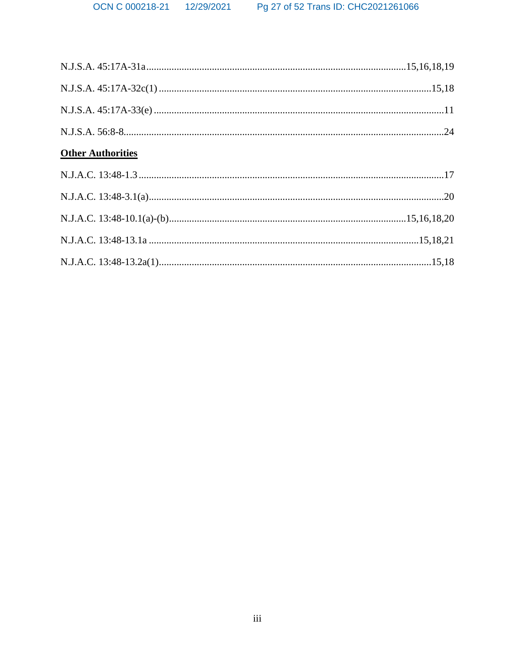| <b>Other Authorities</b> |  |
|--------------------------|--|
|                          |  |
|                          |  |
|                          |  |
|                          |  |
|                          |  |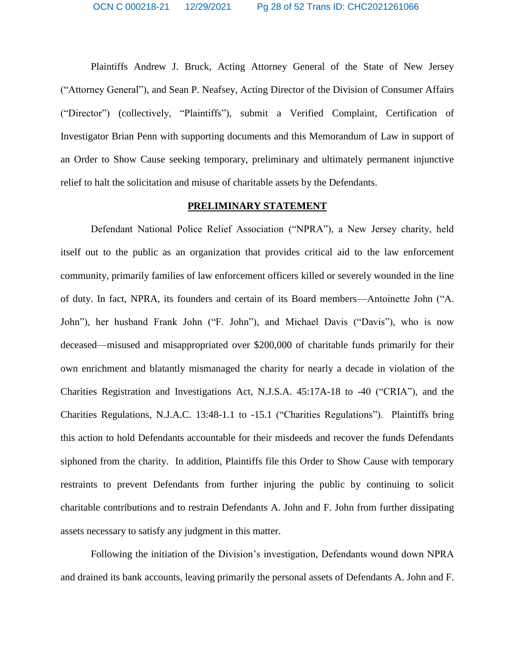Plaintiffs Andrew J. Bruck, Acting Attorney General of the State of New Jersey ("Attorney General"), and Sean P. Neafsey, Acting Director of the Division of Consumer Affairs ("Director") (collectively, "Plaintiffs"), submit a Verified Complaint, Certification of Investigator Brian Penn with supporting documents and this Memorandum of Law in support of an Order to Show Cause seeking temporary, preliminary and ultimately permanent injunctive relief to halt the solicitation and misuse of charitable assets by the Defendants.

#### **PRELIMINARY STATEMENT**

Defendant National Police Relief Association ("NPRA"), a New Jersey charity, held itself out to the public as an organization that provides critical aid to the law enforcement community, primarily families of law enforcement officers killed or severely wounded in the line of duty. In fact, NPRA, its founders and certain of its Board members—Antoinette John ("A. John"), her husband Frank John ("F. John"), and Michael Davis ("Davis"), who is now deceased—misused and misappropriated over \$200,000 of charitable funds primarily for their own enrichment and blatantly mismanaged the charity for nearly a decade in violation of the Charities Registration and Investigations Act, N.J.S.A. 45:17A-18 to -40 ("CRIA"), and the Charities Regulations, N.J.A.C. 13:48-1.1 to -15.1 ("Charities Regulations"). Plaintiffs bring this action to hold Defendants accountable for their misdeeds and recover the funds Defendants siphoned from the charity. In addition, Plaintiffs file this Order to Show Cause with temporary restraints to prevent Defendants from further injuring the public by continuing to solicit charitable contributions and to restrain Defendants A. John and F. John from further dissipating assets necessary to satisfy any judgment in this matter.

Following the initiation of the Division's investigation, Defendants wound down NPRA and drained its bank accounts, leaving primarily the personal assets of Defendants A. John and F.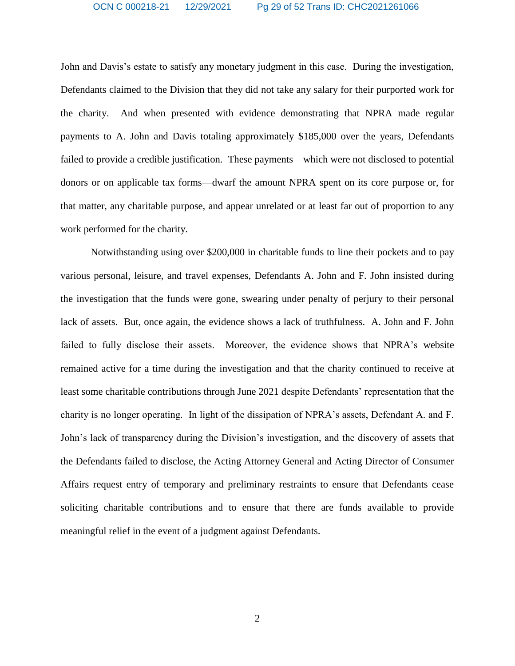John and Davis's estate to satisfy any monetary judgment in this case. During the investigation, Defendants claimed to the Division that they did not take any salary for their purported work for the charity. And when presented with evidence demonstrating that NPRA made regular payments to A. John and Davis totaling approximately \$185,000 over the years, Defendants failed to provide a credible justification. These payments—which were not disclosed to potential donors or on applicable tax forms—dwarf the amount NPRA spent on its core purpose or, for that matter, any charitable purpose, and appear unrelated or at least far out of proportion to any work performed for the charity.

Notwithstanding using over \$200,000 in charitable funds to line their pockets and to pay various personal, leisure, and travel expenses, Defendants A. John and F. John insisted during the investigation that the funds were gone, swearing under penalty of perjury to their personal lack of assets. But, once again, the evidence shows a lack of truthfulness. A. John and F. John failed to fully disclose their assets. Moreover, the evidence shows that NPRA's website remained active for a time during the investigation and that the charity continued to receive at least some charitable contributions through June 2021 despite Defendants' representation that the charity is no longer operating. In light of the dissipation of NPRA's assets, Defendant A. and F. John's lack of transparency during the Division's investigation, and the discovery of assets that the Defendants failed to disclose, the Acting Attorney General and Acting Director of Consumer Affairs request entry of temporary and preliminary restraints to ensure that Defendants cease soliciting charitable contributions and to ensure that there are funds available to provide meaningful relief in the event of a judgment against Defendants.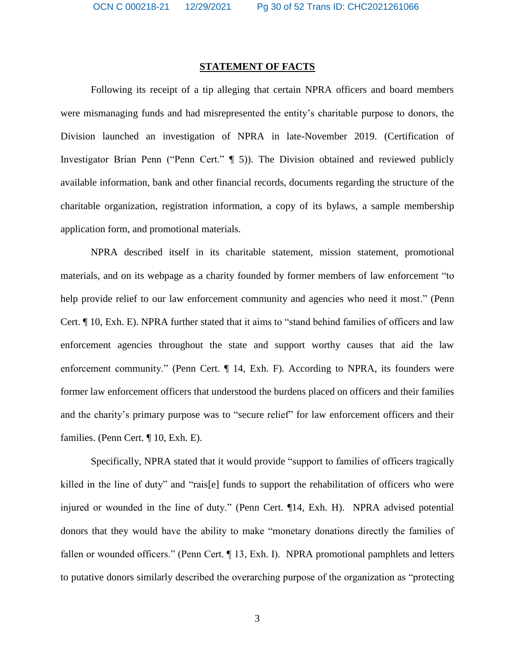## **STATEMENT OF FACTS**

Following its receipt of a tip alleging that certain NPRA officers and board members were mismanaging funds and had misrepresented the entity's charitable purpose to donors, the Division launched an investigation of NPRA in late-November 2019. (Certification of Investigator Brian Penn ("Penn Cert." ¶ 5)). The Division obtained and reviewed publicly available information, bank and other financial records, documents regarding the structure of the charitable organization, registration information, a copy of its bylaws, a sample membership application form, and promotional materials.

NPRA described itself in its charitable statement, mission statement, promotional materials, and on its webpage as a charity founded by former members of law enforcement "to help provide relief to our law enforcement community and agencies who need it most." (Penn Cert. ¶ 10, Exh. E). NPRA further stated that it aims to "stand behind families of officers and law enforcement agencies throughout the state and support worthy causes that aid the law enforcement community." (Penn Cert. ¶ 14, Exh. F). According to NPRA, its founders were former law enforcement officers that understood the burdens placed on officers and their families and the charity's primary purpose was to "secure relief" for law enforcement officers and their families. (Penn Cert. ¶ 10, Exh. E).

Specifically, NPRA stated that it would provide "support to families of officers tragically killed in the line of duty" and "rais[e] funds to support the rehabilitation of officers who were injured or wounded in the line of duty." (Penn Cert. ¶14, Exh. H). NPRA advised potential donors that they would have the ability to make "monetary donations directly the families of fallen or wounded officers." (Penn Cert. ¶ 13, Exh. I). NPRA promotional pamphlets and letters to putative donors similarly described the overarching purpose of the organization as "protecting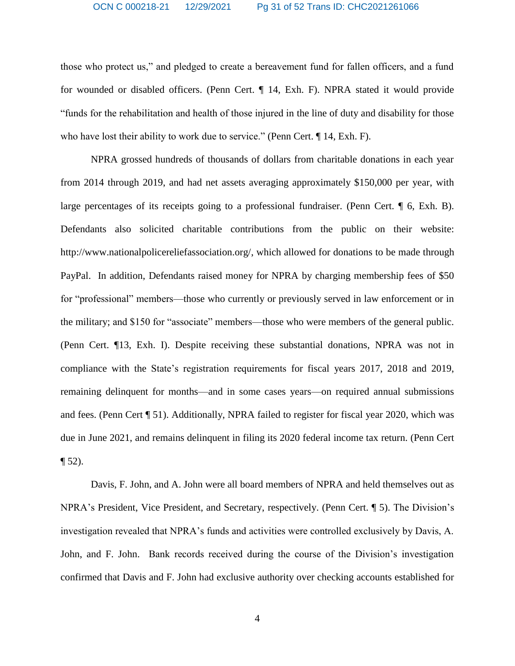those who protect us," and pledged to create a bereavement fund for fallen officers, and a fund for wounded or disabled officers. (Penn Cert. ¶ 14, Exh. F). NPRA stated it would provide "funds for the rehabilitation and health of those injured in the line of duty and disability for those who have lost their ability to work due to service." (Penn Cert. ¶ 14, Exh. F).

NPRA grossed hundreds of thousands of dollars from charitable donations in each year from 2014 through 2019, and had net assets averaging approximately \$150,000 per year, with large percentages of its receipts going to a professional fundraiser. (Penn Cert. ¶ 6, Exh. B). Defendants also solicited charitable contributions from the public on their website: [http://www.nationalpolicereliefassociation.org/,](http://www.nationalpolicereliefassociation.org/) which allowed for donations to be made through PayPal. In addition, Defendants raised money for NPRA by charging membership fees of \$50 for "professional" members—those who currently or previously served in law enforcement or in the military; and \$150 for "associate" members—those who were members of the general public. (Penn Cert. ¶13, Exh. I). Despite receiving these substantial donations, NPRA was not in compliance with the State's registration requirements for fiscal years 2017, 2018 and 2019, remaining delinquent for months—and in some cases years—on required annual submissions and fees. (Penn Cert ¶ 51). Additionally, NPRA failed to register for fiscal year 2020, which was due in June 2021, and remains delinquent in filing its 2020 federal income tax return. (Penn Cert  $\P 52$ ).

Davis, F. John, and A. John were all board members of NPRA and held themselves out as NPRA's President, Vice President, and Secretary, respectively. (Penn Cert. ¶ 5). The Division's investigation revealed that NPRA's funds and activities were controlled exclusively by Davis, A. John, and F. John. Bank records received during the course of the Division's investigation confirmed that Davis and F. John had exclusive authority over checking accounts established for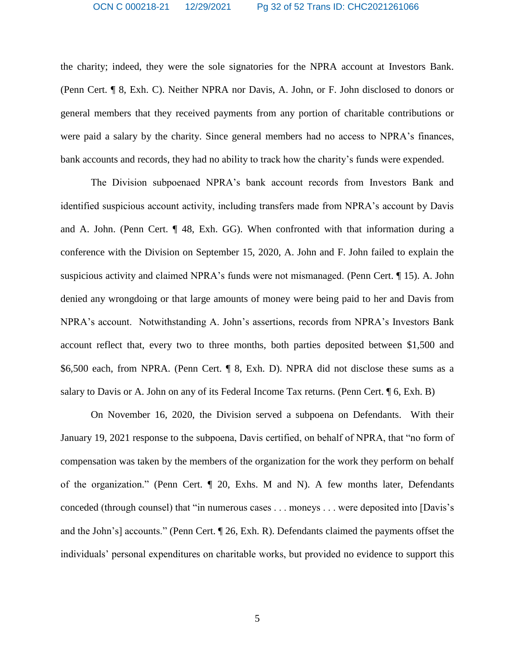the charity; indeed, they were the sole signatories for the NPRA account at Investors Bank. (Penn Cert. ¶ 8, Exh. C). Neither NPRA nor Davis, A. John, or F. John disclosed to donors or general members that they received payments from any portion of charitable contributions or were paid a salary by the charity. Since general members had no access to NPRA's finances, bank accounts and records, they had no ability to track how the charity's funds were expended.

The Division subpoenaed NPRA's bank account records from Investors Bank and identified suspicious account activity, including transfers made from NPRA's account by Davis and A. John. (Penn Cert. ¶ 48, Exh. GG). When confronted with that information during a conference with the Division on September 15, 2020, A. John and F. John failed to explain the suspicious activity and claimed NPRA's funds were not mismanaged. (Penn Cert. ¶ 15). A. John denied any wrongdoing or that large amounts of money were being paid to her and Davis from NPRA's account. Notwithstanding A. John's assertions, records from NPRA's Investors Bank account reflect that, every two to three months, both parties deposited between \$1,500 and \$6,500 each, from NPRA. (Penn Cert. ¶ 8, Exh. D). NPRA did not disclose these sums as a salary to Davis or A. John on any of its Federal Income Tax returns. (Penn Cert. ¶ 6, Exh. B)

On November 16, 2020, the Division served a subpoena on Defendants. With their January 19, 2021 response to the subpoena, Davis certified, on behalf of NPRA, that "no form of compensation was taken by the members of the organization for the work they perform on behalf of the organization." (Penn Cert. ¶ 20, Exhs. M and N). A few months later, Defendants conceded (through counsel) that "in numerous cases . . . moneys . . . were deposited into [Davis's and the John's] accounts." (Penn Cert. ¶ 26, Exh. R). Defendants claimed the payments offset the individuals' personal expenditures on charitable works, but provided no evidence to support this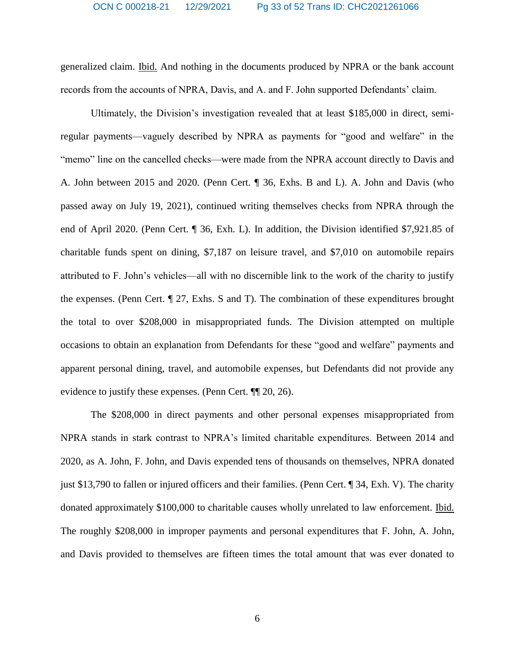generalized claim. Ibid. And nothing in the documents produced by NPRA or the bank account records from the accounts of NPRA, Davis, and A. and F. John supported Defendants' claim.

Ultimately, the Division's investigation revealed that at least \$185,000 in direct, semiregular payments—vaguely described by NPRA as payments for "good and welfare" in the "memo" line on the cancelled checks—were made from the NPRA account directly to Davis and A. John between 2015 and 2020. (Penn Cert. ¶ 36, Exhs. B and L). A. John and Davis (who passed away on July 19, 2021), continued writing themselves checks from NPRA through the end of April 2020. (Penn Cert. ¶ 36, Exh. L). In addition, the Division identified \$7,921.85 of charitable funds spent on dining, \$7,187 on leisure travel, and \$7,010 on automobile repairs attributed to F. John's vehicles—all with no discernible link to the work of the charity to justify the expenses. (Penn Cert. ¶ 27, Exhs. S and T). The combination of these expenditures brought the total to over \$208,000 in misappropriated funds. The Division attempted on multiple occasions to obtain an explanation from Defendants for these "good and welfare" payments and apparent personal dining, travel, and automobile expenses, but Defendants did not provide any evidence to justify these expenses. (Penn Cert. ¶¶ 20, 26).

The \$208,000 in direct payments and other personal expenses misappropriated from NPRA stands in stark contrast to NPRA's limited charitable expenditures. Between 2014 and 2020, as A. John, F. John, and Davis expended tens of thousands on themselves, NPRA donated just \$13,790 to fallen or injured officers and their families. (Penn Cert. ¶ 34, Exh. V). The charity donated approximately \$100,000 to charitable causes wholly unrelated to law enforcement. Ibid. The roughly \$208,000 in improper payments and personal expenditures that F. John, A. John, and Davis provided to themselves are fifteen times the total amount that was ever donated to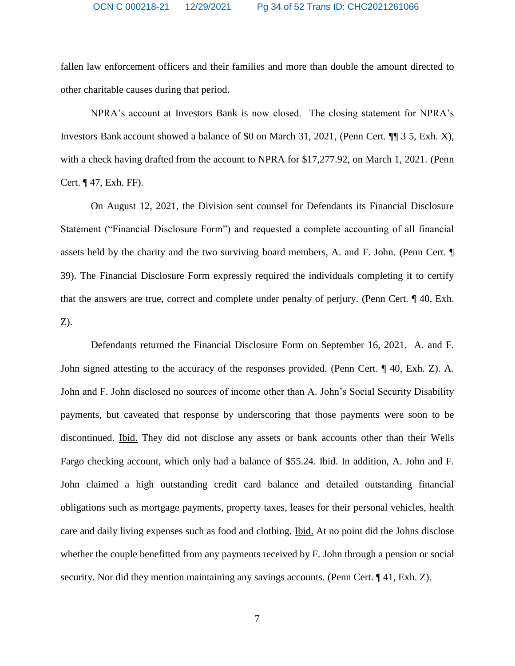fallen law enforcement officers and their families and more than double the amount directed to other charitable causes during that period.

NPRA's account at Investors Bank is now closed. The closing statement for NPRA's Investors Bank account showed a balance of \$0 on March 31, 2021, (Penn Cert. ¶¶ 3 5, Exh. X), with a check having drafted from the account to NPRA for \$17,277.92, on March 1, 2021. (Penn Cert. ¶ 47, Exh. FF).

On August 12, 2021, the Division sent counsel for Defendants its Financial Disclosure Statement ("Financial Disclosure Form") and requested a complete accounting of all financial assets held by the charity and the two surviving board members, A. and F. John. (Penn Cert. ¶ 39). The Financial Disclosure Form expressly required the individuals completing it to certify that the answers are true, correct and complete under penalty of perjury. (Penn Cert. ¶ 40, Exh. Z).

Defendants returned the Financial Disclosure Form on September 16, 2021. A. and F. John signed attesting to the accuracy of the responses provided. (Penn Cert. ¶ 40, Exh. Z). A. John and F. John disclosed no sources of income other than A. John's Social Security Disability payments, but caveated that response by underscoring that those payments were soon to be discontinued. Ibid. They did not disclose any assets or bank accounts other than their Wells Fargo checking account, which only had a balance of \$55.24. Ibid. In addition, A. John and F. John claimed a high outstanding credit card balance and detailed outstanding financial obligations such as mortgage payments, property taxes, leases for their personal vehicles, health care and daily living expenses such as food and clothing. Ibid. At no point did the Johns disclose whether the couple benefitted from any payments received by F. John through a pension or social security. Nor did they mention maintaining any savings accounts. (Penn Cert. ¶ 41, Exh. Z).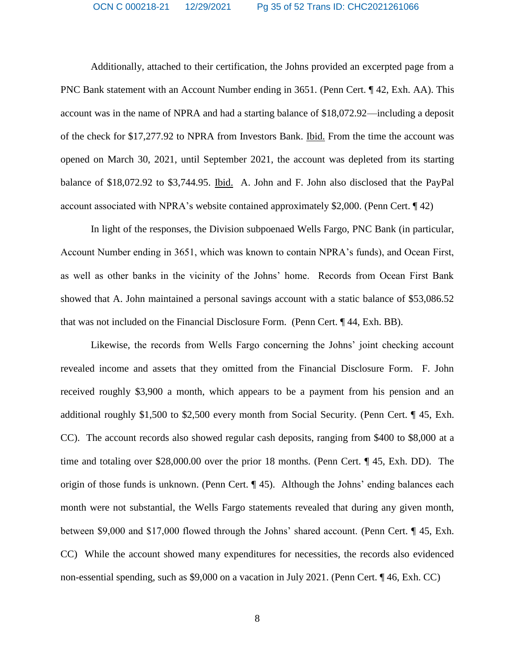Additionally, attached to their certification, the Johns provided an excerpted page from a PNC Bank statement with an Account Number ending in 3651. (Penn Cert. ¶ 42, Exh. AA). This account was in the name of NPRA and had a starting balance of \$18,072.92—including a deposit of the check for \$17,277.92 to NPRA from Investors Bank. Ibid. From the time the account was opened on March 30, 2021, until September 2021, the account was depleted from its starting balance of \$18,072.92 to \$3,744.95. Ibid. A. John and F. John also disclosed that the PayPal account associated with NPRA's website contained approximately \$2,000. (Penn Cert. ¶ 42)

In light of the responses, the Division subpoenaed Wells Fargo, PNC Bank (in particular, Account Number ending in 3651, which was known to contain NPRA's funds), and Ocean First, as well as other banks in the vicinity of the Johns' home. Records from Ocean First Bank showed that A. John maintained a personal savings account with a static balance of \$53,086.52 that was not included on the Financial Disclosure Form. (Penn Cert. ¶ 44, Exh. BB).

Likewise, the records from Wells Fargo concerning the Johns' joint checking account revealed income and assets that they omitted from the Financial Disclosure Form. F. John received roughly \$3,900 a month, which appears to be a payment from his pension and an additional roughly \$1,500 to \$2,500 every month from Social Security. (Penn Cert. ¶ 45, Exh. CC). The account records also showed regular cash deposits, ranging from \$400 to \$8,000 at a time and totaling over \$28,000.00 over the prior 18 months. (Penn Cert. ¶ 45, Exh. DD). The origin of those funds is unknown. (Penn Cert. ¶ 45). Although the Johns' ending balances each month were not substantial, the Wells Fargo statements revealed that during any given month, between \$9,000 and \$17,000 flowed through the Johns' shared account. (Penn Cert. ¶ 45, Exh. CC) While the account showed many expenditures for necessities, the records also evidenced non-essential spending, such as \$9,000 on a vacation in July 2021. (Penn Cert. ¶ 46, Exh. CC)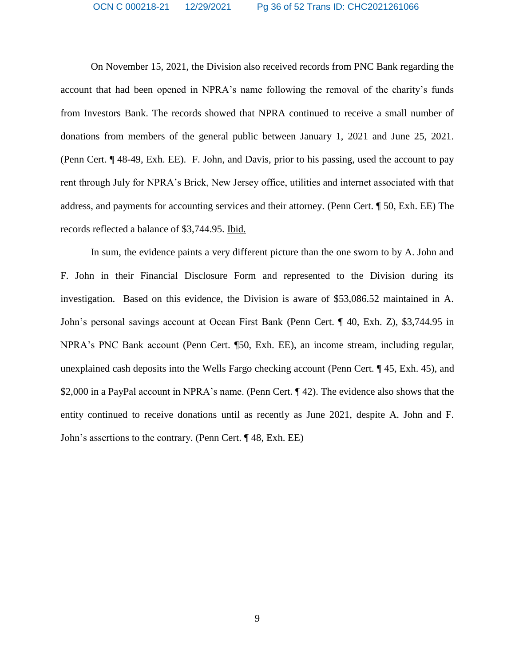On November 15, 2021, the Division also received records from PNC Bank regarding the account that had been opened in NPRA's name following the removal of the charity's funds from Investors Bank. The records showed that NPRA continued to receive a small number of donations from members of the general public between January 1, 2021 and June 25, 2021. (Penn Cert. ¶ 48-49, Exh. EE). F. John, and Davis, prior to his passing, used the account to pay rent through July for NPRA's Brick, New Jersey office, utilities and internet associated with that address, and payments for accounting services and their attorney. (Penn Cert. ¶ 50, Exh. EE) The records reflected a balance of \$3,744.95. Ibid.

In sum, the evidence paints a very different picture than the one sworn to by A. John and F. John in their Financial Disclosure Form and represented to the Division during its investigation. Based on this evidence, the Division is aware of \$53,086.52 maintained in A. John's personal savings account at Ocean First Bank (Penn Cert. ¶ 40, Exh. Z), \$3,744.95 in NPRA's PNC Bank account (Penn Cert. ¶50, Exh. EE), an income stream, including regular, unexplained cash deposits into the Wells Fargo checking account (Penn Cert. ¶ 45, Exh. 45), and \$2,000 in a PayPal account in NPRA's name. (Penn Cert. ¶ 42). The evidence also shows that the entity continued to receive donations until as recently as June 2021, despite A. John and F. John's assertions to the contrary. (Penn Cert. ¶ 48, Exh. EE)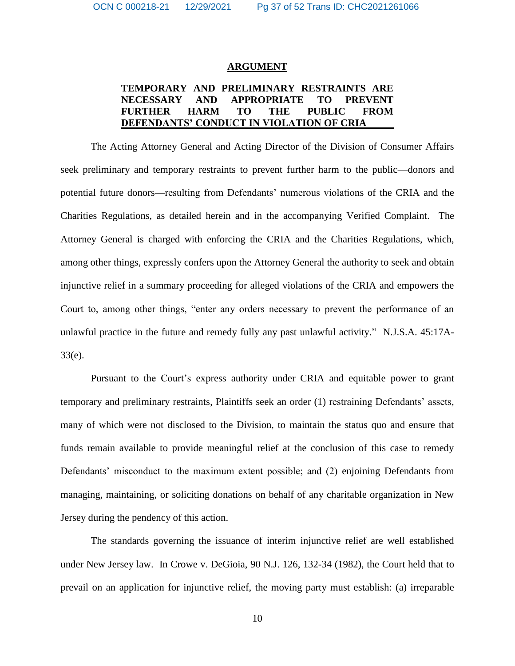#### **ARGUMENT**

## **TEMPORARY AND PRELIMINARY RESTRAINTS ARE NECESSARY AND APPROPRIATE TO PREVENT FURTHER HARM TO THE PUBLIC FROM DEFENDANTS' CONDUCT IN VIOLATION OF CRIA**

The Acting Attorney General and Acting Director of the Division of Consumer Affairs seek preliminary and temporary restraints to prevent further harm to the public—donors and potential future donors—resulting from Defendants' numerous violations of the CRIA and the Charities Regulations, as detailed herein and in the accompanying Verified Complaint. The Attorney General is charged with enforcing the CRIA and the Charities Regulations, which, among other things, expressly confers upon the Attorney General the authority to seek and obtain injunctive relief in a summary proceeding for alleged violations of the CRIA and empowers the Court to, among other things, "enter any orders necessary to prevent the performance of an unlawful practice in the future and remedy fully any past unlawful activity." N.J.S.A. 45:17A-33(e).

Pursuant to the Court's express authority under CRIA and equitable power to grant temporary and preliminary restraints, Plaintiffs seek an order (1) restraining Defendants' assets, many of which were not disclosed to the Division, to maintain the status quo and ensure that funds remain available to provide meaningful relief at the conclusion of this case to remedy Defendants' misconduct to the maximum extent possible; and (2) enjoining Defendants from managing, maintaining, or soliciting donations on behalf of any charitable organization in New Jersey during the pendency of this action.

The standards governing the issuance of interim injunctive relief are well established under New Jersey law. In Crowe v. DeGioia, 90 N.J. 126, 132-34 (1982), the Court held that to prevail on an application for injunctive relief, the moving party must establish: (a) irreparable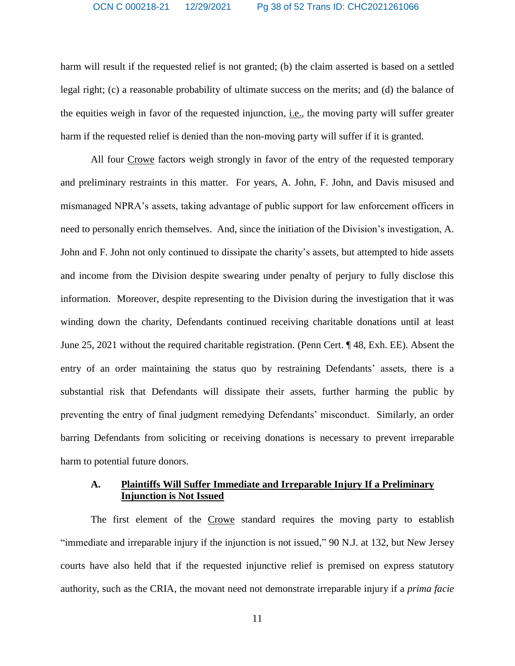harm will result if the requested relief is not granted; (b) the claim asserted is based on a settled legal right; (c) a reasonable probability of ultimate success on the merits; and (d) the balance of the equities weigh in favor of the requested injunction, i.e., the moving party will suffer greater harm if the requested relief is denied than the non-moving party will suffer if it is granted.

All four Crowe factors weigh strongly in favor of the entry of the requested temporary and preliminary restraints in this matter. For years, A. John, F. John, and Davis misused and mismanaged NPRA's assets, taking advantage of public support for law enforcement officers in need to personally enrich themselves. And, since the initiation of the Division's investigation, A. John and F. John not only continued to dissipate the charity's assets, but attempted to hide assets and income from the Division despite swearing under penalty of perjury to fully disclose this information. Moreover, despite representing to the Division during the investigation that it was winding down the charity, Defendants continued receiving charitable donations until at least June 25, 2021 without the required charitable registration. (Penn Cert. ¶ 48, Exh. EE). Absent the entry of an order maintaining the status quo by restraining Defendants' assets, there is a substantial risk that Defendants will dissipate their assets, further harming the public by preventing the entry of final judgment remedying Defendants' misconduct. Similarly, an order barring Defendants from soliciting or receiving donations is necessary to prevent irreparable harm to potential future donors.

## **A. Plaintiffs Will Suffer Immediate and Irreparable Injury If a Preliminary Injunction is Not Issued**

The first element of the Crowe standard requires the moving party to establish "immediate and irreparable injury if the injunction is not issued," 90 N.J. at 132, but New Jersey courts have also held that if the requested injunctive relief is premised on express statutory authority, such as the CRIA, the movant need not demonstrate irreparable injury if a *prima facie*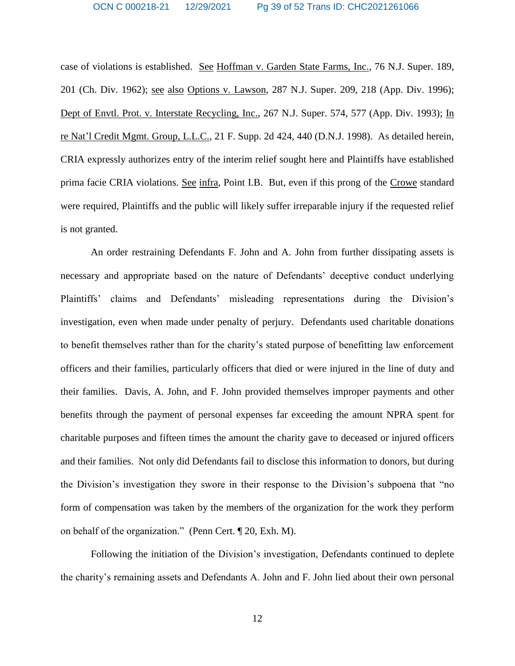case of violations is established. See Hoffman v. Garden State Farms, Inc., 76 N.J. Super. 189, 201 (Ch. Div. 1962); see also Options v. Lawson, 287 N.J. Super. 209, 218 (App. Div. 1996); Dept of Envtl. Prot. v. Interstate Recycling, Inc., 267 N.J. Super. 574, 577 (App. Div. 1993); In re Nat'l Credit Mgmt. Group, L.L.C., 21 F. Supp. 2d 424, 440 (D.N.J. 1998). As detailed herein, CRIA expressly authorizes entry of the interim relief sought here and Plaintiffs have established prima facie CRIA violations. See infra, Point I.B. But, even if this prong of the Crowe standard were required, Plaintiffs and the public will likely suffer irreparable injury if the requested relief is not granted.

An order restraining Defendants F. John and A. John from further dissipating assets is necessary and appropriate based on the nature of Defendants' deceptive conduct underlying Plaintiffs' claims and Defendants' misleading representations during the Division's investigation, even when made under penalty of perjury. Defendants used charitable donations to benefit themselves rather than for the charity's stated purpose of benefitting law enforcement officers and their families, particularly officers that died or were injured in the line of duty and their families. Davis, A. John, and F. John provided themselves improper payments and other benefits through the payment of personal expenses far exceeding the amount NPRA spent for charitable purposes and fifteen times the amount the charity gave to deceased or injured officers and their families. Not only did Defendants fail to disclose this information to donors, but during the Division's investigation they swore in their response to the Division's subpoena that "no form of compensation was taken by the members of the organization for the work they perform on behalf of the organization." (Penn Cert. ¶ 20, Exh. M).

Following the initiation of the Division's investigation, Defendants continued to deplete the charity's remaining assets and Defendants A. John and F. John lied about their own personal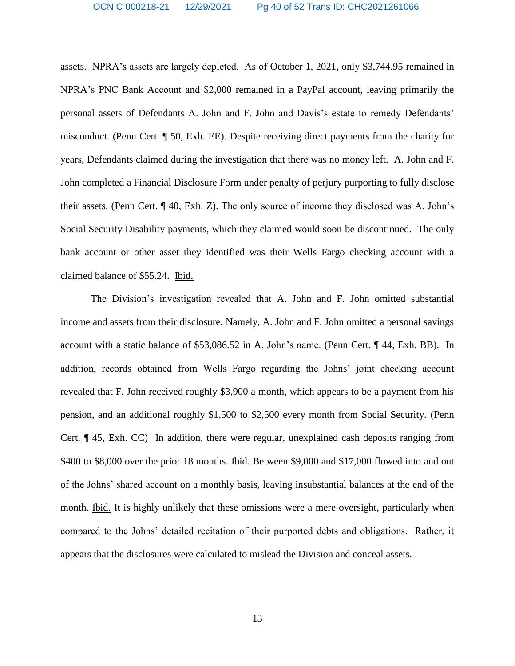assets. NPRA's assets are largely depleted. As of October 1, 2021, only \$3,744.95 remained in NPRA's PNC Bank Account and \$2,000 remained in a PayPal account, leaving primarily the personal assets of Defendants A. John and F. John and Davis's estate to remedy Defendants' misconduct. (Penn Cert. ¶ 50, Exh. EE). Despite receiving direct payments from the charity for years, Defendants claimed during the investigation that there was no money left. A. John and F. John completed a Financial Disclosure Form under penalty of perjury purporting to fully disclose their assets. (Penn Cert. ¶ 40, Exh. Z). The only source of income they disclosed was A. John's Social Security Disability payments, which they claimed would soon be discontinued. The only bank account or other asset they identified was their Wells Fargo checking account with a claimed balance of \$55.24. Ibid.

The Division's investigation revealed that A. John and F. John omitted substantial income and assets from their disclosure. Namely, A. John and F. John omitted a personal savings account with a static balance of \$53,086.52 in A. John's name. (Penn Cert. ¶ 44, Exh. BB). In addition, records obtained from Wells Fargo regarding the Johns' joint checking account revealed that F. John received roughly \$3,900 a month, which appears to be a payment from his pension, and an additional roughly \$1,500 to \$2,500 every month from Social Security. (Penn Cert. ¶ 45, Exh. CC) In addition, there were regular, unexplained cash deposits ranging from \$400 to \$8,000 over the prior 18 months. Ibid. Between \$9,000 and \$17,000 flowed into and out of the Johns' shared account on a monthly basis, leaving insubstantial balances at the end of the month. Ibid. It is highly unlikely that these omissions were a mere oversight, particularly when compared to the Johns' detailed recitation of their purported debts and obligations. Rather, it appears that the disclosures were calculated to mislead the Division and conceal assets.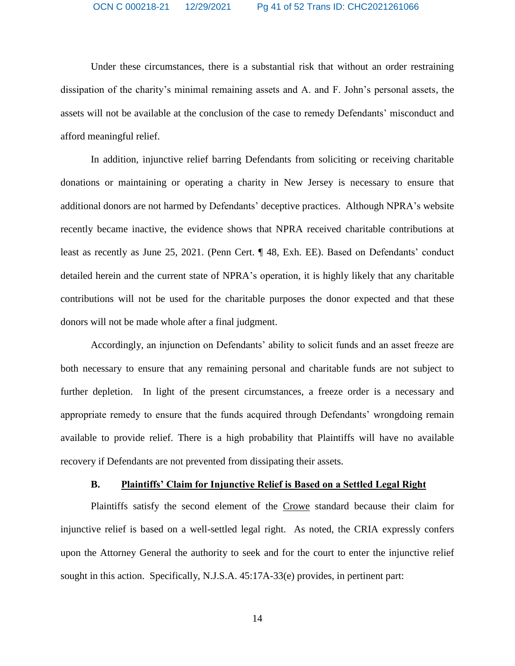Under these circumstances, there is a substantial risk that without an order restraining dissipation of the charity's minimal remaining assets and A. and F. John's personal assets, the assets will not be available at the conclusion of the case to remedy Defendants' misconduct and afford meaningful relief.

In addition, injunctive relief barring Defendants from soliciting or receiving charitable donations or maintaining or operating a charity in New Jersey is necessary to ensure that additional donors are not harmed by Defendants' deceptive practices. Although NPRA's website recently became inactive, the evidence shows that NPRA received charitable contributions at least as recently as June 25, 2021. (Penn Cert. ¶ 48, Exh. EE). Based on Defendants' conduct detailed herein and the current state of NPRA's operation, it is highly likely that any charitable contributions will not be used for the charitable purposes the donor expected and that these donors will not be made whole after a final judgment.

Accordingly, an injunction on Defendants' ability to solicit funds and an asset freeze are both necessary to ensure that any remaining personal and charitable funds are not subject to further depletion. In light of the present circumstances, a freeze order is a necessary and appropriate remedy to ensure that the funds acquired through Defendants' wrongdoing remain available to provide relief. There is a high probability that Plaintiffs will have no available recovery if Defendants are not prevented from dissipating their assets.

## **B. Plaintiffs' Claim for Injunctive Relief is Based on a Settled Legal Right**

Plaintiffs satisfy the second element of the Crowe standard because their claim for injunctive relief is based on a well-settled legal right. As noted, the CRIA expressly confers upon the Attorney General the authority to seek and for the court to enter the injunctive relief sought in this action. Specifically, N.J.S.A. 45:17A-33(e) provides, in pertinent part: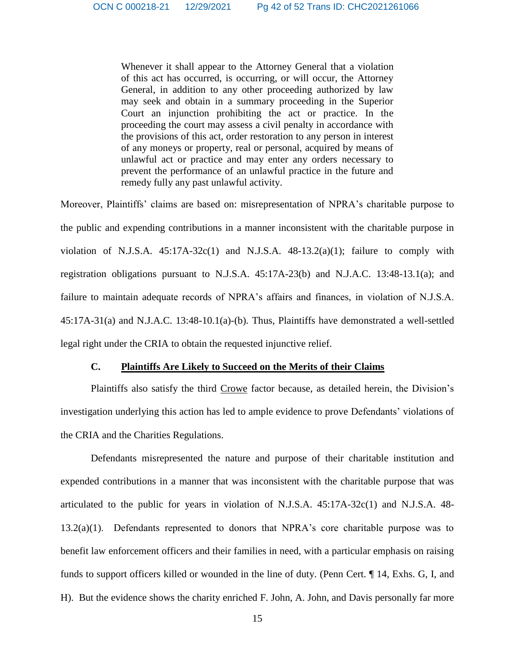Whenever it shall appear to the Attorney General that a violation of this act has occurred, is occurring, or will occur, the Attorney General, in addition to any other proceeding authorized by law may seek and obtain in a summary proceeding in the Superior Court an injunction prohibiting the act or practice. In the proceeding the court may assess a civil penalty in accordance with the provisions of this act, order restoration to any person in interest of any moneys or property, real or personal, acquired by means of unlawful act or practice and may enter any orders necessary to prevent the performance of an unlawful practice in the future and remedy fully any past unlawful activity.

Moreover, Plaintiffs' claims are based on: misrepresentation of NPRA's charitable purpose to the public and expending contributions in a manner inconsistent with the charitable purpose in violation of N.J.S.A.  $45:17A-32c(1)$  and N.J.S.A.  $48-13.2(a)(1)$ ; failure to comply with registration obligations pursuant to N.J.S.A. 45:17A-23(b) and N.J.A.C. 13:48-13.1(a); and failure to maintain adequate records of NPRA's affairs and finances, in violation of N.J.S.A. 45:17A-31(a) and N.J.A.C. 13:48-10.1(a)-(b). Thus, Plaintiffs have demonstrated a well-settled legal right under the CRIA to obtain the requested injunctive relief.

## **C. Plaintiffs Are Likely to Succeed on the Merits of their Claims**

Plaintiffs also satisfy the third Crowe factor because, as detailed herein, the Division's investigation underlying this action has led to ample evidence to prove Defendants' violations of the CRIA and the Charities Regulations.

Defendants misrepresented the nature and purpose of their charitable institution and expended contributions in a manner that was inconsistent with the charitable purpose that was articulated to the public for years in violation of N.J.S.A. 45:17A-32c(1) and N.J.S.A. 48-  $13.2(a)(1)$ . Defendants represented to donors that NPRA's core charitable purpose was to benefit law enforcement officers and their families in need, with a particular emphasis on raising funds to support officers killed or wounded in the line of duty. (Penn Cert. ¶ 14, Exhs. G, I, and H). But the evidence shows the charity enriched F. John, A. John, and Davis personally far more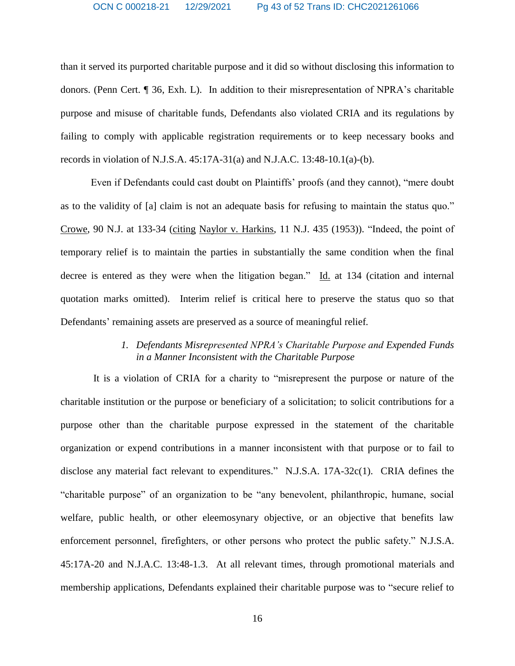than it served its purported charitable purpose and it did so without disclosing this information to donors. (Penn Cert. ¶ 36, Exh. L). In addition to their misrepresentation of NPRA's charitable purpose and misuse of charitable funds, Defendants also violated CRIA and its regulations by failing to comply with applicable registration requirements or to keep necessary books and records in violation of N.J.S.A. 45:17A-31(a) and N.J.A.C. 13:48-10.1(a)-(b).

Even if Defendants could cast doubt on Plaintiffs' proofs (and they cannot), "mere doubt as to the validity of [a] claim is not an adequate basis for refusing to maintain the status quo." Crowe, 90 N.J. at 133-34 (citing Naylor v. Harkins, 11 N.J. 435 (1953)). "Indeed, the point of temporary relief is to maintain the parties in substantially the same condition when the final decree is entered as they were when the litigation began." Id. at 134 (citation and internal quotation marks omitted). Interim relief is critical here to preserve the status quo so that Defendants' remaining assets are preserved as a source of meaningful relief*.*

## *1. Defendants Misrepresented NPRA's Charitable Purpose and Expended Funds in a Manner Inconsistent with the Charitable Purpose*

It is a violation of CRIA for a charity to "misrepresent the purpose or nature of the charitable institution or the purpose or beneficiary of a solicitation; to solicit contributions for a purpose other than the charitable purpose expressed in the statement of the charitable organization or expend contributions in a manner inconsistent with that purpose or to fail to disclose any material fact relevant to expenditures." N.J.S.A. 17A-32c(1). CRIA defines the "charitable purpose" of an organization to be "any benevolent, philanthropic, humane, social welfare, public health, or other eleemosynary objective, or an objective that benefits law enforcement personnel, firefighters, or other persons who protect the public safety." N.J.S.A. 45:17A-20 and N.J.A.C. 13:48-1.3. At all relevant times, through promotional materials and membership applications, Defendants explained their charitable purpose was to "secure relief to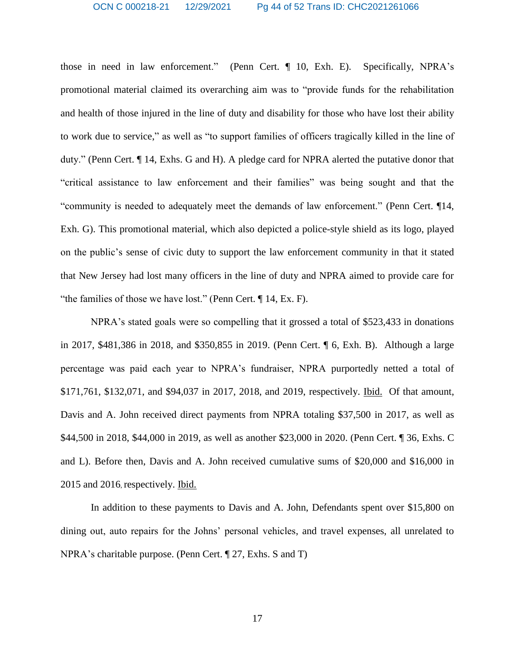those in need in law enforcement." (Penn Cert. ¶ 10, Exh. E). Specifically, NPRA's promotional material claimed its overarching aim was to "provide funds for the rehabilitation and health of those injured in the line of duty and disability for those who have lost their ability to work due to service," as well as "to support families of officers tragically killed in the line of duty." (Penn Cert. ¶ 14, Exhs. G and H). A pledge card for NPRA alerted the putative donor that "critical assistance to law enforcement and their families" was being sought and that the "community is needed to adequately meet the demands of law enforcement." (Penn Cert. ¶14, Exh. G). This promotional material, which also depicted a police-style shield as its logo, played on the public's sense of civic duty to support the law enforcement community in that it stated that New Jersey had lost many officers in the line of duty and NPRA aimed to provide care for "the families of those we have lost." (Penn Cert. ¶ 14, Ex. F).

NPRA's stated goals were so compelling that it grossed a total of \$523,433 in donations in 2017, \$481,386 in 2018, and \$350,855 in 2019. (Penn Cert. ¶ 6, Exh. B). Although a large percentage was paid each year to NPRA's fundraiser, NPRA purportedly netted a total of \$171,761, \$132,071, and \$94,037 in 2017, 2018, and 2019, respectively. Ibid. Of that amount, Davis and A. John received direct payments from NPRA totaling \$37,500 in 2017, as well as \$44,500 in 2018, \$44,000 in 2019, as well as another \$23,000 in 2020. (Penn Cert. ¶ 36, Exhs. C and L). Before then, Davis and A. John received cumulative sums of \$20,000 and \$16,000 in 2015 and 2016, respectively. Ibid.

In addition to these payments to Davis and A. John, Defendants spent over \$15,800 on dining out, auto repairs for the Johns' personal vehicles, and travel expenses, all unrelated to NPRA's charitable purpose. (Penn Cert. ¶ 27, Exhs. S and T)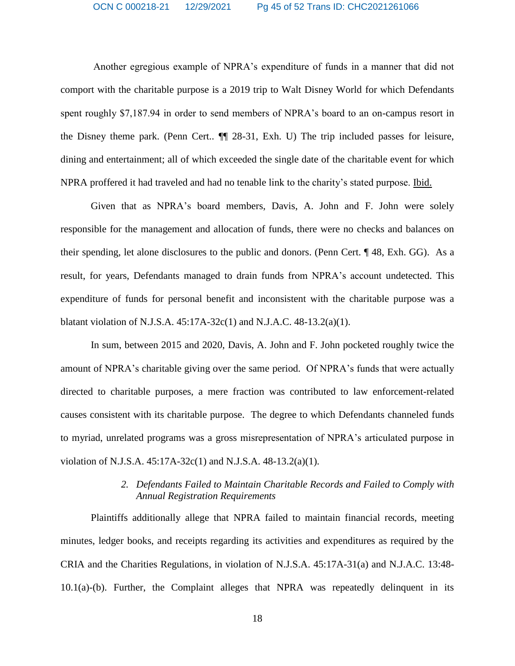Another egregious example of NPRA's expenditure of funds in a manner that did not comport with the charitable purpose is a 2019 trip to Walt Disney World for which Defendants spent roughly \$7,187.94 in order to send members of NPRA's board to an on-campus resort in the Disney theme park. (Penn Cert.. ¶¶ 28-31, Exh. U) The trip included passes for leisure, dining and entertainment; all of which exceeded the single date of the charitable event for which NPRA proffered it had traveled and had no tenable link to the charity's stated purpose. Ibid.

Given that as NPRA's board members, Davis, A. John and F. John were solely responsible for the management and allocation of funds, there were no checks and balances on their spending, let alone disclosures to the public and donors. (Penn Cert. ¶ 48, Exh. GG). As a result, for years, Defendants managed to drain funds from NPRA's account undetected. This expenditure of funds for personal benefit and inconsistent with the charitable purpose was a blatant violation of N.J.S.A.  $45:17A-32c(1)$  and N.J.A.C.  $48-13.2(a)(1)$ .

In sum, between 2015 and 2020, Davis, A. John and F. John pocketed roughly twice the amount of NPRA's charitable giving over the same period. Of NPRA's funds that were actually directed to charitable purposes, a mere fraction was contributed to law enforcement-related causes consistent with its charitable purpose. The degree to which Defendants channeled funds to myriad, unrelated programs was a gross misrepresentation of NPRA's articulated purpose in violation of N.J.S.A. 45:17A-32c(1) and N.J.S.A. 48-13.2(a)(1).

## *2. Defendants Failed to Maintain Charitable Records and Failed to Comply with Annual Registration Requirements*

Plaintiffs additionally allege that NPRA failed to maintain financial records, meeting minutes, ledger books, and receipts regarding its activities and expenditures as required by the CRIA and the Charities Regulations, in violation of N.J.S.A. 45:17A-31(a) and N.J.A.C. 13:48- 10.1(a)-(b). Further, the Complaint alleges that NPRA was repeatedly delinquent in its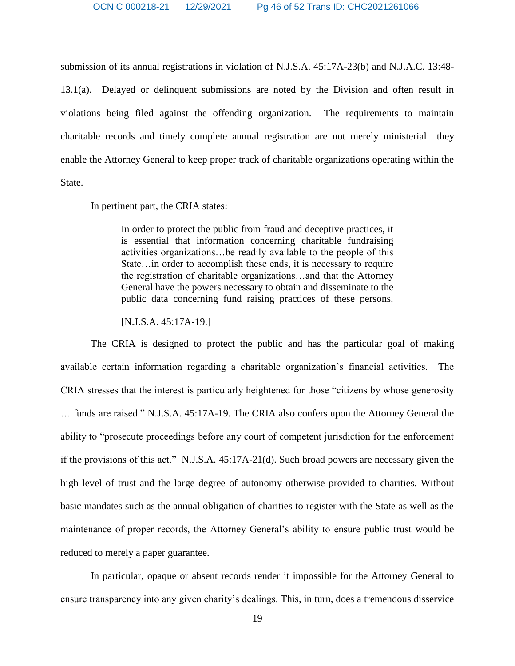submission of its annual registrations in violation of N.J.S.A. 45:17A-23(b) and N.J.A.C. 13:48- 13.1(a). Delayed or delinquent submissions are noted by the Division and often result in violations being filed against the offending organization. The requirements to maintain charitable records and timely complete annual registration are not merely ministerial—they enable the Attorney General to keep proper track of charitable organizations operating within the State.

In pertinent part, the CRIA states:

In order to protect the public from fraud and deceptive practices, it is essential that information concerning charitable fundraising activities organizations…be readily available to the people of this State…in order to accomplish these ends, it is necessary to require the registration of charitable organizations…and that the Attorney General have the powers necessary to obtain and disseminate to the public data concerning fund raising practices of these persons.

[N.J.S.A. 45:17A-19.]

The CRIA is designed to protect the public and has the particular goal of making available certain information regarding a charitable organization's financial activities. The CRIA stresses that the interest is particularly heightened for those "citizens by whose generosity … funds are raised." N.J.S.A. 45:17A-19. The CRIA also confers upon the Attorney General the ability to "prosecute proceedings before any court of competent jurisdiction for the enforcement if the provisions of this act." N.J.S.A. 45:17A-21(d). Such broad powers are necessary given the high level of trust and the large degree of autonomy otherwise provided to charities. Without basic mandates such as the annual obligation of charities to register with the State as well as the maintenance of proper records, the Attorney General's ability to ensure public trust would be reduced to merely a paper guarantee.

In particular, opaque or absent records render it impossible for the Attorney General to ensure transparency into any given charity's dealings. This, in turn, does a tremendous disservice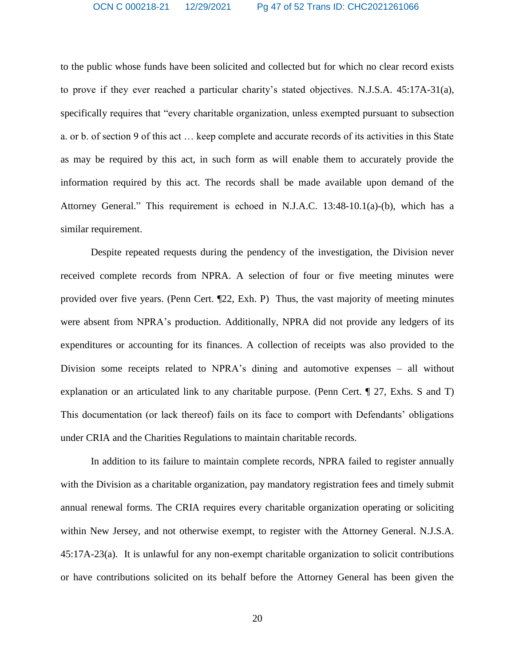to the public whose funds have been solicited and collected but for which no clear record exists to prove if they ever reached a particular charity's stated objectives. N.J.S.A. 45:17A-31(a), specifically requires that "every charitable organization, unless exempted pursuant to subsection a. or b. of section 9 of this act … keep complete and accurate records of its activities in this State as may be required by this act, in such form as will enable them to accurately provide the information required by this act. The records shall be made available upon demand of the Attorney General." This requirement is echoed in N.J.A.C. 13:48-10.1(a)-(b), which has a similar requirement.

Despite repeated requests during the pendency of the investigation, the Division never received complete records from NPRA. A selection of four or five meeting minutes were provided over five years. (Penn Cert. ¶22, Exh. P) Thus, the vast majority of meeting minutes were absent from NPRA's production. Additionally, NPRA did not provide any ledgers of its expenditures or accounting for its finances. A collection of receipts was also provided to the Division some receipts related to NPRA's dining and automotive expenses – all without explanation or an articulated link to any charitable purpose. (Penn Cert. ¶ 27, Exhs. S and T) This documentation (or lack thereof) fails on its face to comport with Defendants' obligations under CRIA and the Charities Regulations to maintain charitable records.

In addition to its failure to maintain complete records, NPRA failed to register annually with the Division as a charitable organization, pay mandatory registration fees and timely submit annual renewal forms. The CRIA requires every charitable organization operating or soliciting within New Jersey, and not otherwise exempt, to register with the Attorney General. N.J.S.A. 45:17A-23(a). It is unlawful for any non-exempt charitable organization to solicit contributions or have contributions solicited on its behalf before the Attorney General has been given the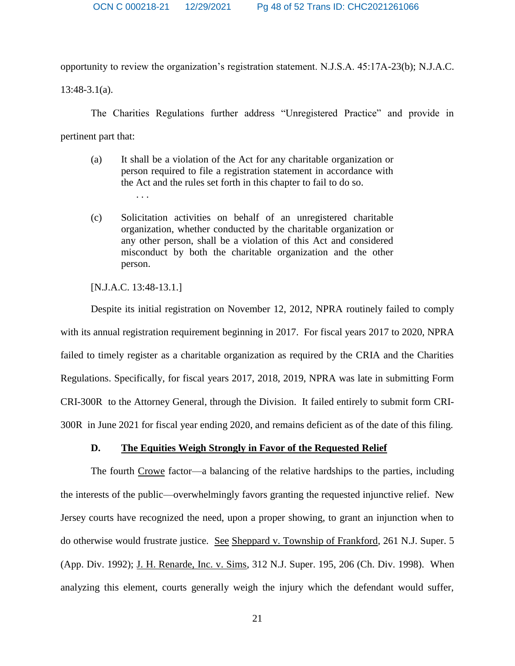opportunity to review the organization's registration statement. N.J.S.A. 45:17A-23(b); N.J.A.C.

13:48-3.1(a).

The Charities Regulations further address "Unregistered Practice" and provide in pertinent part that:

- (a) It shall be a violation of the Act for any charitable organization or person required to file a registration statement in accordance with the Act and the rules set forth in this chapter to fail to do so. . . .
- (c) Solicitation activities on behalf of an unregistered charitable organization, whether conducted by the charitable organization or any other person, shall be a violation of this Act and considered misconduct by both the charitable organization and the other person.

[N.J.A.C. 13:48-13.1.]

Despite its initial registration on November 12, 2012, NPRA routinely failed to comply with its annual registration requirement beginning in 2017. For fiscal years 2017 to 2020, NPRA failed to timely register as a charitable organization as required by the CRIA and the Charities Regulations. Specifically, for fiscal years 2017, 2018, 2019, NPRA was late in submitting Form CRI-300R to the Attorney General, through the Division. It failed entirely to submit form CRI-300R in June 2021 for fiscal year ending 2020, and remains deficient as of the date of this filing.

### **D. The Equities Weigh Strongly in Favor of the Requested Relief**

The fourth Crowe factor—a balancing of the relative hardships to the parties, including the interests of the public—overwhelmingly favors granting the requested injunctive relief. New Jersey courts have recognized the need, upon a proper showing, to grant an injunction when to do otherwise would frustrate justice. See Sheppard v. Township of Frankford, 261 N.J. Super. 5 (App. Div. 1992); J. H. Renarde, Inc. v. Sims, 312 N.J. Super. 195, 206 (Ch. Div. 1998). When analyzing this element, courts generally weigh the injury which the defendant would suffer,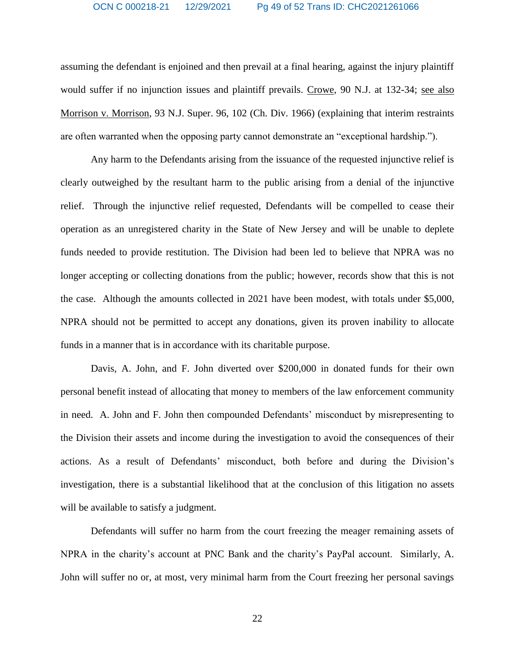assuming the defendant is enjoined and then prevail at a final hearing, against the injury plaintiff would suffer if no injunction issues and plaintiff prevails. Crowe, 90 N.J. at 132-34; see also Morrison v. Morrison, 93 N.J. Super. 96, 102 (Ch. Div. 1966) (explaining that interim restraints are often warranted when the opposing party cannot demonstrate an "exceptional hardship.").

Any harm to the Defendants arising from the issuance of the requested injunctive relief is clearly outweighed by the resultant harm to the public arising from a denial of the injunctive relief. Through the injunctive relief requested, Defendants will be compelled to cease their operation as an unregistered charity in the State of New Jersey and will be unable to deplete funds needed to provide restitution. The Division had been led to believe that NPRA was no longer accepting or collecting donations from the public; however, records show that this is not the case. Although the amounts collected in 2021 have been modest, with totals under \$5,000, NPRA should not be permitted to accept any donations, given its proven inability to allocate funds in a manner that is in accordance with its charitable purpose.

Davis, A. John, and F. John diverted over \$200,000 in donated funds for their own personal benefit instead of allocating that money to members of the law enforcement community in need. A. John and F. John then compounded Defendants' misconduct by misrepresenting to the Division their assets and income during the investigation to avoid the consequences of their actions. As a result of Defendants' misconduct, both before and during the Division's investigation, there is a substantial likelihood that at the conclusion of this litigation no assets will be available to satisfy a judgment.

Defendants will suffer no harm from the court freezing the meager remaining assets of NPRA in the charity's account at PNC Bank and the charity's PayPal account. Similarly, A. John will suffer no or, at most, very minimal harm from the Court freezing her personal savings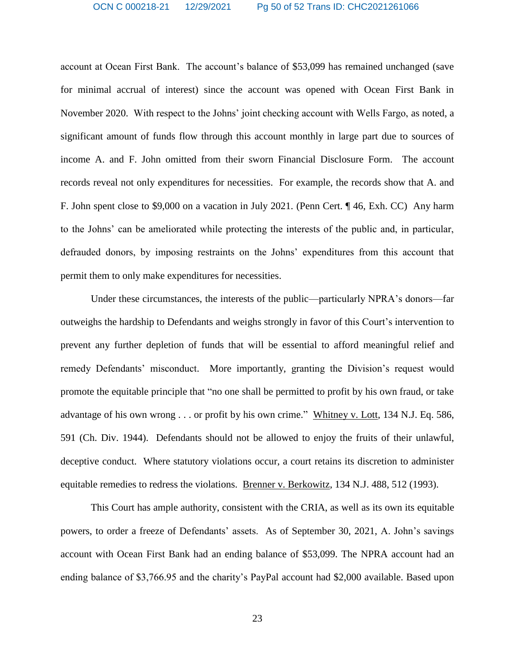account at Ocean First Bank. The account's balance of \$53,099 has remained unchanged (save for minimal accrual of interest) since the account was opened with Ocean First Bank in November 2020. With respect to the Johns' joint checking account with Wells Fargo, as noted, a significant amount of funds flow through this account monthly in large part due to sources of income A. and F. John omitted from their sworn Financial Disclosure Form. The account records reveal not only expenditures for necessities. For example, the records show that A. and F. John spent close to \$9,000 on a vacation in July 2021. (Penn Cert. ¶ 46, Exh. CC) Any harm to the Johns' can be ameliorated while protecting the interests of the public and, in particular, defrauded donors, by imposing restraints on the Johns' expenditures from this account that permit them to only make expenditures for necessities.

Under these circumstances, the interests of the public—particularly NPRA's donors—far outweighs the hardship to Defendants and weighs strongly in favor of this Court's intervention to prevent any further depletion of funds that will be essential to afford meaningful relief and remedy Defendants' misconduct. More importantly, granting the Division's request would promote the equitable principle that "no one shall be permitted to profit by his own fraud, or take advantage of his own wrong . . . or profit by his own crime." Whitney v. Lott, 134 N.J. Eq. 586, 591 (Ch. Div. 1944). Defendants should not be allowed to enjoy the fruits of their unlawful, deceptive conduct. Where statutory violations occur, a court retains its discretion to administer equitable remedies to redress the violations. Brenner v. Berkowitz, 134 N.J. 488, 512 (1993).

This Court has ample authority, consistent with the CRIA, as well as its own its equitable powers, to order a freeze of Defendants' assets. As of September 30, 2021, A. John's savings account with Ocean First Bank had an ending balance of \$53,099. The NPRA account had an ending balance of \$3,766.95 and the charity's PayPal account had \$2,000 available. Based upon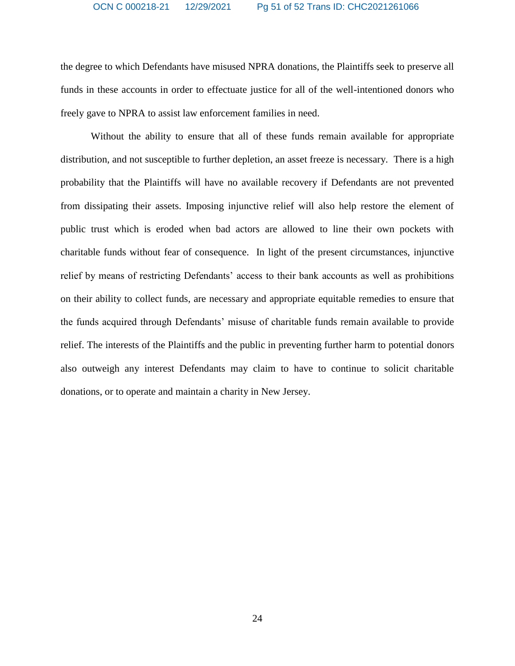#### OCN C 000218-21 12/29/2021 Pg 51 of 52 Trans ID: CHC2021261066

the degree to which Defendants have misused NPRA donations, the Plaintiffs seek to preserve all funds in these accounts in order to effectuate justice for all of the well-intentioned donors who freely gave to NPRA to assist law enforcement families in need.

Without the ability to ensure that all of these funds remain available for appropriate distribution, and not susceptible to further depletion, an asset freeze is necessary. There is a high probability that the Plaintiffs will have no available recovery if Defendants are not prevented from dissipating their assets. Imposing injunctive relief will also help restore the element of public trust which is eroded when bad actors are allowed to line their own pockets with charitable funds without fear of consequence. In light of the present circumstances, injunctive relief by means of restricting Defendants' access to their bank accounts as well as prohibitions on their ability to collect funds, are necessary and appropriate equitable remedies to ensure that the funds acquired through Defendants' misuse of charitable funds remain available to provide relief. The interests of the Plaintiffs and the public in preventing further harm to potential donors also outweigh any interest Defendants may claim to have to continue to solicit charitable donations, or to operate and maintain a charity in New Jersey.